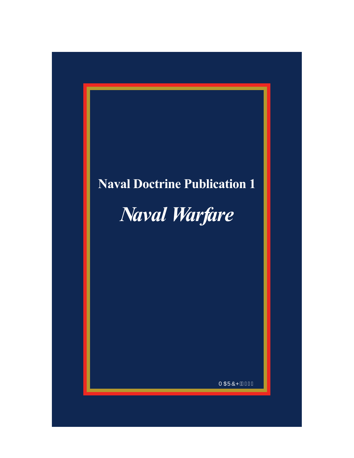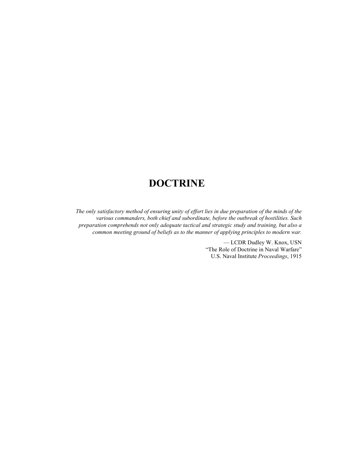# **DOCTRINE**

*The only satisfactory method of ensuring unity of effort lies in due preparation of the minds of the various commanders, both chief and subordinate, before the outbreak of hostilities. Such preparation comprehends not only adequate tactical and strategic study and training, but also a common meeting ground of beliefs as to the manner of applying principles to modern war.* 

> — LCDR Dudley W. Knox, USN "The Role of Doctrine in Naval Warfare" U.S. Naval Institute *Proceedings*, 1915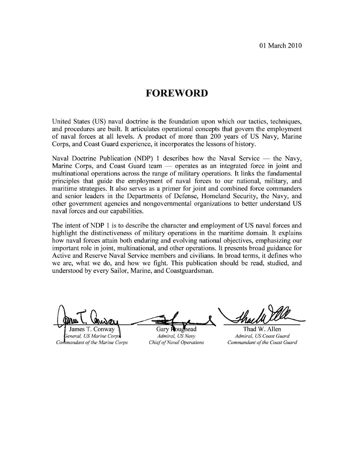## **FOREWORD**

United States (US) naval doctrine is the foundation upon which our tactics, techniques, and procedures are built. It articulates operational concepts that govern the employment of naval forces at all levels. A product of more than 200 years of US Navy, Marine Corps, and Coast Guard experience, it incorporates the lessons of history.

Naval Doctrine Publication (NDP) 1 describes how the Naval Service — the Navy, Marine Corps, and Coast Guard team — operates as an integrated force in joint and multinational operations across the range of military operations. It links the fundamental principles that guide the employment of naval forces to our national, military, and maritime strategies. It also serves as a primer for joint and combined force commanders and senior leaders in the Departments of Defense, Homeland Security, the Navy, and other government agencies and nongovernmental organizations to better understand US naval forces and our capabilities.

The intent of NDP 1 is to describe the character and employment of US naval forces and highlight the distinctiveness of military operations in the maritime domain. It explains how naval forces attain both enduring and evolving national objectives, emphasizing our important role in joint, multinational, and other operations. It presents broad guidance for Active and Reserve Naval Service members and civilians. In broad terms, it defines who we are, what we do, and how we fight. This publication should be read, studied, and understood by every Sailor, Marine, and Coastguardsman.

James T. Conway General, US Marine Corps Commandant of the Marine Corps

Gary Roughead Admiral, US Navy **Chief of Naval Operations** 

Thad W. Allen Admiral, US Coast Guard Commandant of the Coast Guard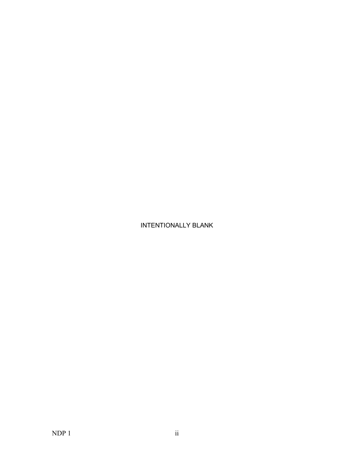## INTENTIONALLY BLANK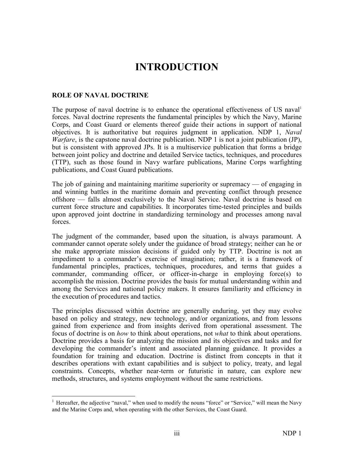# **INTRODUCTION**

#### **ROLE OF NAVAL DOCTRINE**

1

The purpose of naval doctrine is to enhance the operational effectiveness of US naval<sup>1</sup> forces. Naval doctrine represents the fundamental principles by which the Navy, Marine Corps, and Coast Guard or elements thereof guide their actions in support of national objectives. It is authoritative but requires judgment in application. NDP 1, *Naval Warfare*, is the capstone naval doctrine publication. NDP 1 is not a joint publication (JP), but is consistent with approved JPs. It is a multiservice publication that forms a bridge between joint policy and doctrine and detailed Service tactics, techniques, and procedures (TTP), such as those found in Navy warfare publications, Marine Corps warfighting publications, and Coast Guard publications.

The job of gaining and maintaining maritime superiority or supremacy — of engaging in and winning battles in the maritime domain and preventing conflict through presence offshore — falls almost exclusively to the Naval Service. Naval doctrine is based on current force structure and capabilities. It incorporates time-tested principles and builds upon approved joint doctrine in standardizing terminology and processes among naval forces.

The judgment of the commander, based upon the situation, is always paramount. A commander cannot operate solely under the guidance of broad strategy; neither can he or she make appropriate mission decisions if guided only by TTP. Doctrine is not an impediment to a commander's exercise of imagination; rather, it is a framework of fundamental principles, practices, techniques, procedures, and terms that guides a commander, commanding officer, or officer-in-charge in employing force(s) to accomplish the mission. Doctrine provides the basis for mutual understanding within and among the Services and national policy makers. It ensures familiarity and efficiency in the execution of procedures and tactics.

The principles discussed within doctrine are generally enduring, yet they may evolve based on policy and strategy, new technology, and/or organizations, and from lessons gained from experience and from insights derived from operational assessment. The focus of doctrine is on *how* to think about operations, not *what* to think about operations. Doctrine provides a basis for analyzing the mission and its objectives and tasks and for developing the commander's intent and associated planning guidance. It provides a foundation for training and education. Doctrine is distinct from concepts in that it describes operations with extant capabilities and is subject to policy, treaty, and legal constraints. Concepts, whether near-term or futuristic in nature, can explore new methods, structures, and systems employment without the same restrictions.

<sup>&</sup>lt;sup>1</sup> Hereafter, the adjective "naval," when used to modify the nouns "force" or "Service," will mean the Navy and the Marine Corps and, when operating with the other Services, the Coast Guard.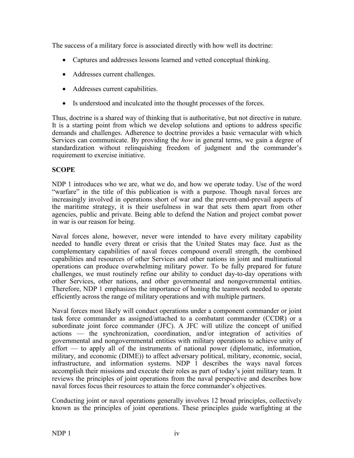The success of a military force is associated directly with how well its doctrine:

- Captures and addresses lessons learned and vetted conceptual thinking.
- Addresses current challenges.
- Addresses current capabilities.
- Is understood and inculcated into the thought processes of the forces.

Thus, doctrine is a shared way of thinking that is authoritative, but not directive in nature. It is a starting point from which we develop solutions and options to address specific demands and challenges. Adherence to doctrine provides a basic vernacular with which Services can communicate. By providing the *how* in general terms, we gain a degree of standardization without relinquishing freedom of judgment and the commander's requirement to exercise initiative.

## **SCOPE**

NDP 1 introduces who we are, what we do, and how we operate today. Use of the word "warfare" in the title of this publication is with a purpose. Though naval forces are increasingly involved in operations short of war and the prevent-and-prevail aspects of the maritime strategy, it is their usefulness in war that sets them apart from other agencies, public and private. Being able to defend the Nation and project combat power in war is our reason for being.

Naval forces alone, however, never were intended to have every military capability needed to handle every threat or crisis that the United States may face. Just as the complementary capabilities of naval forces compound overall strength, the combined capabilities and resources of other Services and other nations in joint and multinational operations can produce overwhelming military power. To be fully prepared for future challenges, we must routinely refine our ability to conduct day-to-day operations with other Services, other nations, and other governmental and nongovernmental entities. Therefore, NDP 1 emphasizes the importance of honing the teamwork needed to operate efficiently across the range of military operations and with multiple partners.

Naval forces most likely will conduct operations under a component commander or joint task force commander as assigned/attached to a combatant commander (CCDR) or a subordinate joint force commander (JFC). A JFC will utilize the concept of unified actions — the synchronization, coordination, and/or integration of activities of governmental and nongovernmental entities with military operations to achieve unity of effort — to apply all of the instruments of national power (diplomatic, information, military, and economic (DIME)) to affect adversary political, military, economic, social, infrastructure, and information systems. NDP 1 describes the ways naval forces accomplish their missions and execute their roles as part of today's joint military team. It reviews the principles of joint operations from the naval perspective and describes how naval forces focus their resources to attain the force commander's objectives.

Conducting joint or naval operations generally involves 12 broad principles, collectively known as the principles of joint operations. These principles guide warfighting at the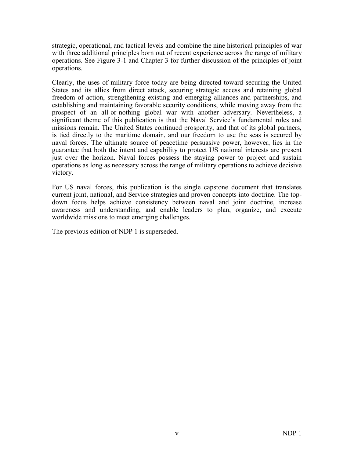strategic, operational, and tactical levels and combine the nine historical principles of war with three additional principles born out of recent experience across the range of military operations. See Figure 3-1 and Chapter 3 for further discussion of the principles of joint operations.

Clearly, the uses of military force today are being directed toward securing the United States and its allies from direct attack, securing strategic access and retaining global freedom of action, strengthening existing and emerging alliances and partnerships, and establishing and maintaining favorable security conditions, while moving away from the prospect of an all-or-nothing global war with another adversary. Nevertheless, a significant theme of this publication is that the Naval Service's fundamental roles and missions remain. The United States continued prosperity, and that of its global partners, is tied directly to the maritime domain, and our freedom to use the seas is secured by naval forces. The ultimate source of peacetime persuasive power, however, lies in the guarantee that both the intent and capability to protect US national interests are present just over the horizon. Naval forces possess the staying power to project and sustain operations as long as necessary across the range of military operations to achieve decisive victory.

For US naval forces, this publication is the single capstone document that translates current joint, national, and Service strategies and proven concepts into doctrine. The topdown focus helps achieve consistency between naval and joint doctrine, increase awareness and understanding, and enable leaders to plan, organize, and execute worldwide missions to meet emerging challenges.

The previous edition of NDP 1 is superseded.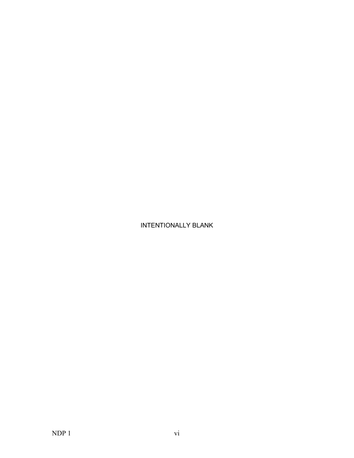## INTENTIONALLY BLANK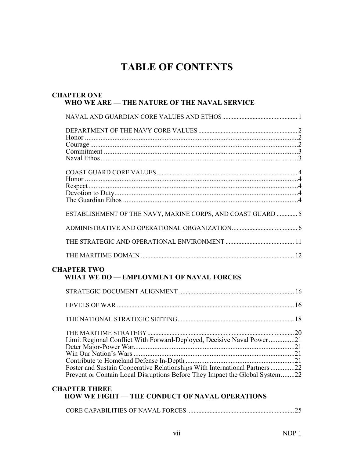# **TABLE OF CONTENTS**

#### **CHAPTER ONE** WHO WE ARE — THE NATURE OF THE NAVAL SERVICE

| ESTABLISHMENT OF THE NAVY, MARINE CORPS, AND COAST GUARD  5                                                                                                |  |
|------------------------------------------------------------------------------------------------------------------------------------------------------------|--|
|                                                                                                                                                            |  |
|                                                                                                                                                            |  |
|                                                                                                                                                            |  |
| <b>CHAPTER TWO</b><br>WHAT WE DO - EMPLOYMENT OF NAVAL FORCES                                                                                              |  |
|                                                                                                                                                            |  |
|                                                                                                                                                            |  |
|                                                                                                                                                            |  |
| Foster and Sustain Cooperative Relationships With International Partners 22<br>Prevent or Contain Local Disruptions Before They Impact the Global System22 |  |
| <b>CHAPTER THREE</b><br><b>HOW WE FIGHT - THE CONDUCT OF NAVAL OPERATIONS</b>                                                                              |  |

|--|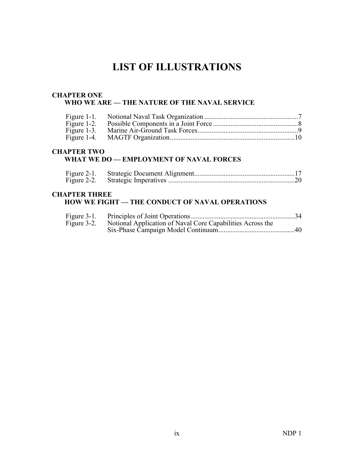# **LIST OF ILLUSTRATIONS**

## **CHAPTER ONE**

## **WHO WE ARE — THE NATURE OF THE NAVAL SERVICE**

#### **CHAPTER TWO**

## **WHAT WE DO — EMPLOYMENT OF NAVAL FORCES**

#### **CHAPTER THREE**

#### **HOW WE FIGHT — THE CONDUCT OF NAVAL OPERATIONS**

| Figure 3-2. Notional Application of Naval Core Capabilities Across the |  |
|------------------------------------------------------------------------|--|
|                                                                        |  |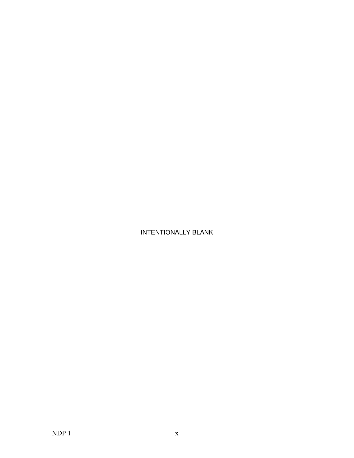## INTENTIONALLY BLANK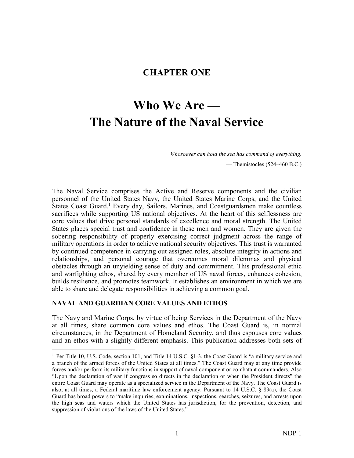## **CHAPTER ONE**

# **Who We Are — The Nature of the Naval Service**

*Whosoever can hold the sea has command of everything.* 

— Themistocles (524–460 B.C.)

The Naval Service comprises the Active and Reserve components and the civilian personnel of the United States Navy, the United States Marine Corps, and the United States Coast Guard.<sup>1</sup> Every day, Sailors, Marines, and Coastguardsmen make countless sacrifices while supporting US national objectives. At the heart of this selflessness are core values that drive personal standards of excellence and moral strength. The United States places special trust and confidence in these men and women. They are given the sobering responsibility of properly exercising correct judgment across the range of military operations in order to achieve national security objectives. This trust is warranted by continued competence in carrying out assigned roles, absolute integrity in actions and relationships, and personal courage that overcomes moral dilemmas and physical obstacles through an unyielding sense of duty and commitment. This professional ethic and warfighting ethos, shared by every member of US naval forces, enhances cohesion, builds resilience, and promotes teamwork. It establishes an environment in which we are able to share and delegate responsibilities in achieving a common goal.

#### **NAVAL AND GUARDIAN CORE VALUES AND ETHOS**

1

The Navy and Marine Corps, by virtue of being Services in the Department of the Navy at all times, share common core values and ethos. The Coast Guard is, in normal circumstances, in the Department of Homeland Security, and thus espouses core values and an ethos with a slightly different emphasis. This publication addresses both sets of

<sup>&</sup>lt;sup>1</sup> Per Title 10, U.S. Code, section 101, and Title 14 U.S.C. §1-3, the Coast Guard is "a military service and a branch of the armed forces of the United States at all times." The Coast Guard may at any time provide forces and/or perform its military functions in support of naval component or combatant commanders. Also "Upon the declaration of war if congress so directs in the declaration or when the President directs" the entire Coast Guard may operate as a specialized service in the Department of the Navy. The Coast Guard is also, at all times, a Federal maritime law enforcement agency. Pursuant to 14 U.S.C. § 89(a), the Coast Guard has broad powers to "make inquiries, examinations, inspections, searches, seizures, and arrests upon the high seas and waters which the United States has jurisdiction, for the prevention, detection, and suppression of violations of the laws of the United States."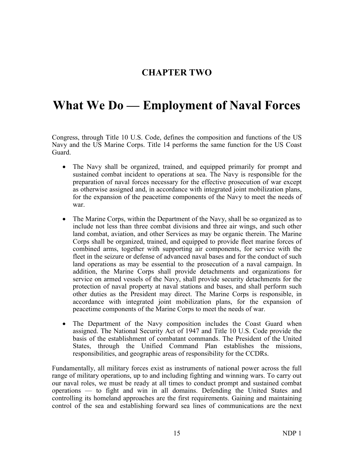## **CHAPTER TWO**

# **What We Do — Employment of Naval Forces**

Congress, through Title 10 U.S. Code, defines the composition and functions of the US Navy and the US Marine Corps. Title 14 performs the same function for the US Coast Guard.

- The Navy shall be organized, trained, and equipped primarily for prompt and sustained combat incident to operations at sea. The Navy is responsible for the preparation of naval forces necessary for the effective prosecution of war except as otherwise assigned and, in accordance with integrated joint mobilization plans, for the expansion of the peacetime components of the Navy to meet the needs of war.
- The Marine Corps, within the Department of the Navy, shall be so organized as to include not less than three combat divisions and three air wings, and such other land combat, aviation, and other Services as may be organic therein. The Marine Corps shall be organized, trained, and equipped to provide fleet marine forces of combined arms, together with supporting air components, for service with the fleet in the seizure or defense of advanced naval bases and for the conduct of such land operations as may be essential to the prosecution of a naval campaign. In addition, the Marine Corps shall provide detachments and organizations for service on armed vessels of the Navy, shall provide security detachments for the protection of naval property at naval stations and bases, and shall perform such other duties as the President may direct. The Marine Corps is responsible, in accordance with integrated joint mobilization plans, for the expansion of peacetime components of the Marine Corps to meet the needs of war.
- The Department of the Navy composition includes the Coast Guard when assigned. The National Security Act of 1947 and Title 10 U.S. Code provide the basis of the establishment of combatant commands. The President of the United States, through the Unified Command Plan establishes the missions, responsibilities, and geographic areas of responsibility for the CCDRs.

Fundamentally, all military forces exist as instruments of national power across the full range of military operations, up to and including fighting and winning wars. To carry out our naval roles, we must be ready at all times to conduct prompt and sustained combat operations — to fight and win in all domains. Defending the United States and controlling its homeland approaches are the first requirements. Gaining and maintaining control of the sea and establishing forward sea lines of communications are the next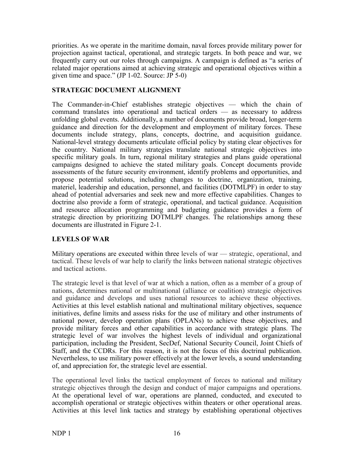priorities. As we operate in the maritime domain, naval forces provide military power for projection against tactical, operational, and strategic targets. In both peace and war, we frequently carry out our roles through campaigns. A campaign is defined as "a series of related major operations aimed at achieving strategic and operational objectives within a given time and space." (JP 1-02. Source: JP 5-0)

## **STRATEGIC DOCUMENT ALIGNMENT**

The Commander-in-Chief establishes strategic objectives — which the chain of command translates into operational and tactical orders — as necessary to address unfolding global events. Additionally, a number of documents provide broad, longer-term guidance and direction for the development and employment of military forces. These documents include strategy, plans, concepts, doctrine, and acquisition guidance. National-level strategy documents articulate official policy by stating clear objectives for the country. National military strategies translate national strategic objectives into specific military goals. In turn, regional military strategies and plans guide operational campaigns designed to achieve the stated military goals. Concept documents provide assessments of the future security environment, identify problems and opportunities, and propose potential solutions, including changes to doctrine, organization, training, materiel, leadership and education, personnel, and facilities (DOTMLPF) in order to stay ahead of potential adversaries and seek new and more effective capabilities. Changes to doctrine also provide a form of strategic, operational, and tactical guidance. Acquisition and resource allocation programming and budgeting guidance provides a form of strategic direction by prioritizing DOTMLPF changes. The relationships among these documents are illustrated in Figure 2-1.

## **LEVELS OF WAR**

Military operations are executed within three levels of war — strategic, operational, and tactical. These levels of war help to clarify the links between national strategic objectives and tactical actions.

The strategic level is that level of war at which a nation, often as a member of a group of nations, determines national or multinational (alliance or coalition) strategic objectives and guidance and develops and uses national resources to achieve these objectives. Activities at this level establish national and multinational military objectives, sequence initiatives, define limits and assess risks for the use of military and other instruments of national power, develop operation plans (OPLANs) to achieve these objectives, and provide military forces and other capabilities in accordance with strategic plans. The strategic level of war involves the highest levels of individual and organizational participation, including the President, SecDef, National Security Council, Joint Chiefs of Staff, and the CCDRs. For this reason, it is not the focus of this doctrinal publication. Nevertheless, to use military power effectively at the lower levels, a sound understanding of, and appreciation for, the strategic level are essential.

The operational level links the tactical employment of forces to national and military strategic objectives through the design and conduct of major campaigns and operations. At the operational level of war, operations are planned, conducted, and executed to accomplish operational or strategic objectives within theaters or other operational areas. Activities at this level link tactics and strategy by establishing operational objectives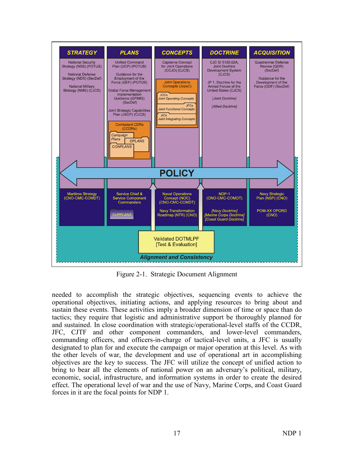

Figure 2-1. Strategic Document Alignment

needed to accomplish the strategic objectives, sequencing events to achieve the operational objectives, initiating actions, and applying resources to bring about and sustain these events. These activities imply a broader dimension of time or space than do tactics; they require that logistic and administrative support be thoroughly planned for and sustained. In close coordination with strategic/operational-level staffs of the CCDR, JFC, CJTF and other component commanders, and lower-level commanders, commanding officers, and officers-in-charge of tactical-level units, a JFC is usually designated to plan for and execute the campaign or major operation at this level. As with the other levels of war, the development and use of operational art in accomplishing objectives are the key to success. The JFC will utilize the concept of unified action to bring to bear all the elements of national power on an adversary's political, military, economic, social, infrastructure, and information systems in order to create the desired effect. The operational level of war and the use of Navy, Marine Corps, and Coast Guard forces in it are the focal points for NDP 1.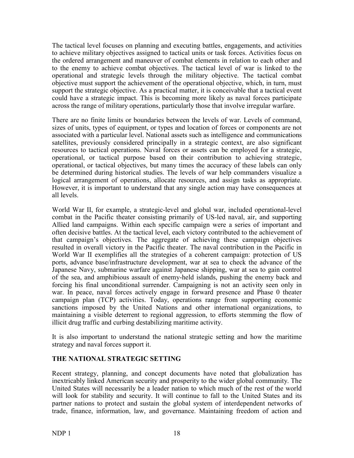The tactical level focuses on planning and executing battles, engagements, and activities to achieve military objectives assigned to tactical units or task forces. Activities focus on the ordered arrangement and maneuver of combat elements in relation to each other and to the enemy to achieve combat objectives. The tactical level of war is linked to the operational and strategic levels through the military objective. The tactical combat objective must support the achievement of the operational objective, which, in turn, must support the strategic objective. As a practical matter, it is conceivable that a tactical event could have a strategic impact. This is becoming more likely as naval forces participate across the range of military operations, particularly those that involve irregular warfare.

There are no finite limits or boundaries between the levels of war. Levels of command, sizes of units, types of equipment, or types and location of forces or components are not associated with a particular level. National assets such as intelligence and communications satellites, previously considered principally in a strategic context, are also significant resources to tactical operations. Naval forces or assets can be employed for a strategic, operational, or tactical purpose based on their contribution to achieving strategic, operational, or tactical objectives, but many times the accuracy of these labels can only be determined during historical studies. The levels of war help commanders visualize a logical arrangement of operations, allocate resources, and assign tasks as appropriate. However, it is important to understand that any single action may have consequences at all levels.

World War II, for example, a strategic-level and global war, included operational-level combat in the Pacific theater consisting primarily of US-led naval, air, and supporting Allied land campaigns. Within each specific campaign were a series of important and often decisive battles. At the tactical level, each victory contributed to the achievement of that campaign's objectives. The aggregate of achieving these campaign objectives resulted in overall victory in the Pacific theater. The naval contribution in the Pacific in World War II exemplifies all the strategies of a coherent campaign: protection of US ports, advance base/infrastructure development, war at sea to check the advance of the Japanese Navy, submarine warfare against Japanese shipping, war at sea to gain control of the sea, and amphibious assault of enemy-held islands, pushing the enemy back and forcing his final unconditional surrender. Campaigning is not an activity seen only in war. In peace, naval forces actively engage in forward presence and Phase 0 theater campaign plan (TCP) activities. Today, operations range from supporting economic sanctions imposed by the United Nations and other international organizations, to maintaining a visible deterrent to regional aggression, to efforts stemming the flow of illicit drug traffic and curbing destabilizing maritime activity.

It is also important to understand the national strategic setting and how the maritime strategy and naval forces support it.

## **THE NATIONAL STRATEGIC SETTING**

Recent strategy, planning, and concept documents have noted that globalization has inextricably linked American security and prosperity to the wider global community. The United States will necessarily be a leader nation to which much of the rest of the world will look for stability and security. It will continue to fall to the United States and its partner nations to protect and sustain the global system of interdependent networks of trade, finance, information, law, and governance. Maintaining freedom of action and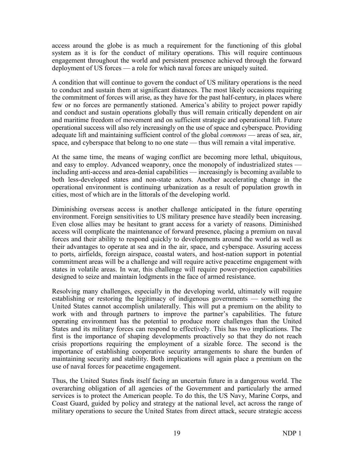access around the globe is as much a requirement for the functioning of this global system as it is for the conduct of military operations. This will require continuous engagement throughout the world and persistent presence achieved through the forward deployment of US forces — a role for which naval forces are uniquely suited.

A condition that will continue to govern the conduct of US military operations is the need to conduct and sustain them at significant distances. The most likely occasions requiring the commitment of forces will arise, as they have for the past half-century, in places where few or no forces are permanently stationed. America's ability to project power rapidly and conduct and sustain operations globally thus will remain critically dependent on air and maritime freedom of movement and on sufficient strategic and operational lift. Future operational success will also rely increasingly on the use of space and cyberspace. Providing adequate lift and maintaining sufficient control of the global *commons* — areas of sea, air, space, and cyberspace that belong to no one state — thus will remain a vital imperative.

At the same time, the means of waging conflict are becoming more lethal, ubiquitous, and easy to employ. Advanced weaponry, once the monopoly of industrialized states including anti-access and area-denial capabilities — increasingly is becoming available to both less-developed states and non-state actors. Another accelerating change in the operational environment is continuing urbanization as a result of population growth in cities, most of which are in the littorals of the developing world.

Diminishing overseas access is another challenge anticipated in the future operating environment. Foreign sensitivities to US military presence have steadily been increasing. Even close allies may be hesitant to grant access for a variety of reasons. Diminished access will complicate the maintenance of forward presence, placing a premium on naval forces and their ability to respond quickly to developments around the world as well as their advantages to operate at sea and in the air, space, and cyberspace. Assuring access to ports, airfields, foreign airspace, coastal waters, and host-nation support in potential commitment areas will be a challenge and will require active peacetime engagement with states in volatile areas. In war, this challenge will require power-projection capabilities designed to seize and maintain lodgments in the face of armed resistance.

Resolving many challenges, especially in the developing world, ultimately will require establishing or restoring the legitimacy of indigenous governments — something the United States cannot accomplish unilaterally. This will put a premium on the ability to work with and through partners to improve the partner's capabilities. The future operating environment has the potential to produce more challenges than the United States and its military forces can respond to effectively. This has two implications. The first is the importance of shaping developments proactively so that they do not reach crisis proportions requiring the employment of a sizable force. The second is the importance of establishing cooperative security arrangements to share the burden of maintaining security and stability. Both implications will again place a premium on the use of naval forces for peacetime engagement.

Thus, the United States finds itself facing an uncertain future in a dangerous world. The overarching obligation of all agencies of the Government and particularly the armed services is to protect the American people. To do this, the US Navy, Marine Corps, and Coast Guard, guided by policy and strategy at the national level, act across the range of military operations to secure the United States from direct attack, secure strategic access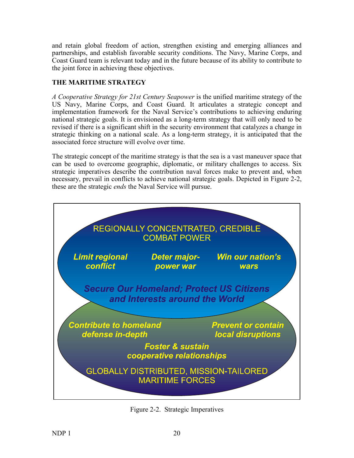and retain global freedom of action, strengthen existing and emerging alliances and partnerships, and establish favorable security conditions. The Navy, Marine Corps, and Coast Guard team is relevant today and in the future because of its ability to contribute to the joint force in achieving these objectives.

## **THE MARITIME STRATEGY**

*A Cooperative Strategy for 21st Century Seapower* is the unified maritime strategy of the US Navy, Marine Corps, and Coast Guard. It articulates a strategic concept and implementation framework for the Naval Service's contributions to achieving enduring national strategic goals. It is envisioned as a long-term strategy that will only need to be revised if there is a significant shift in the security environment that catalyzes a change in strategic thinking on a national scale. As a long-term strategy, it is anticipated that the associated force structure will evolve over time.

The strategic concept of the maritime strategy is that the sea is a vast maneuver space that can be used to overcome geographic, diplomatic, or military challenges to access. Six strategic imperatives describe the contribution naval forces make to prevent and, when necessary, prevail in conflicts to achieve national strategic goals. Depicted in Figure 2-2, these are the strategic *ends* the Naval Service will pursue.



Figure 2-2. Strategic Imperatives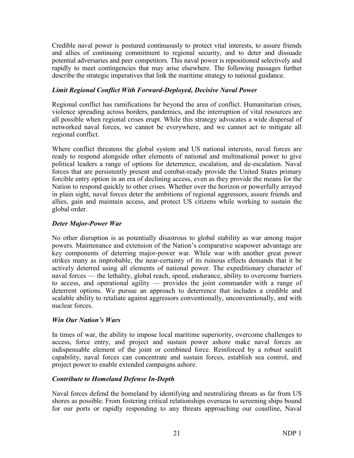Credible naval power is postured continuously to protect vital interests, to assure friends and allies of continuing commitment to regional security, and to deter and dissuade potential adversaries and peer competitors. This naval power is repositioned selectively and rapidly to meet contingencies that may arise elsewhere. The following passages further describe the strategic imperatives that link the maritime strategy to national guidance.

#### *Limit Regional Conflict With Forward-Deployed, Decisive Naval Power*

Regional conflict has ramifications far beyond the area of conflict. Humanitarian crises, violence spreading across borders, pandemics, and the interruption of vital resources are all possible when regional crises erupt. While this strategy advocates a wide dispersal of networked naval forces, we cannot be everywhere, and we cannot act to mitigate all regional conflict.

Where conflict threatens the global system and US national interests, naval forces are ready to respond alongside other elements of national and multinational power to give political leaders a range of options for deterrence, escalation, and de-escalation. Naval forces that are persistently present and combat-ready provide the United States primary forcible entry option in an era of declining access, even as they provide the means for the Nation to respond quickly to other crises. Whether over the horizon or powerfully arrayed in plain sight, naval forces deter the ambitions of regional aggressors, assure friends and allies, gain and maintain access, and protect US citizens while working to sustain the global order.

#### *Deter Major-Power War*

No other disruption is as potentially disastrous to global stability as war among major powers. Maintenance and extension of the Nation's comparative seapower advantage are key components of deterring major-power war. While war with another great power strikes many as improbable, the near-certainty of its ruinous effects demands that it be actively deterred using all elements of national power. The expeditionary character of naval forces — the lethality, global reach, speed, endurance, ability to overcome barriers to access, and operational agility — provides the joint commander with a range of deterrent options. We pursue an approach to deterrence that includes a credible and scalable ability to retaliate against aggressors conventionally, unconventionally, and with nuclear forces.

## *Win Our Nation's Wars*

In times of war, the ability to impose local maritime superiority, overcome challenges to access, force entry, and project and sustain power ashore make naval forces an indispensable element of the joint or combined force. Reinforced by a robust sealift capability, naval forces can concentrate and sustain forces, establish sea control, and project power to enable extended campaigns ashore.

## *Contribute to Homeland Defense In-Depth*

Naval forces defend the homeland by identifying and neutralizing threats as far from US shores as possible. From fostering critical relationships overseas to screening ships bound for our ports or rapidly responding to any threats approaching our coastline, Naval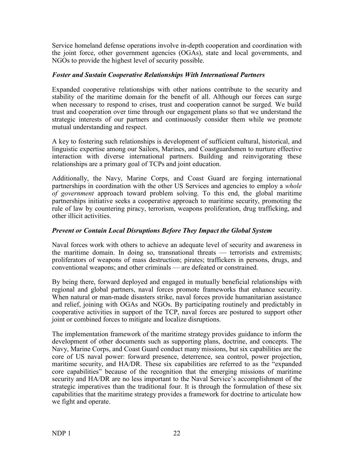Service homeland defense operations involve in-depth cooperation and coordination with the joint force, other government agencies (OGAs), state and local governments, and NGOs to provide the highest level of security possible.

## *Foster and Sustain Cooperative Relationships With International Partners*

Expanded cooperative relationships with other nations contribute to the security and stability of the maritime domain for the benefit of all. Although our forces can surge when necessary to respond to crises, trust and cooperation cannot be surged. We build trust and cooperation over time through our engagement plans so that we understand the strategic interests of our partners and continuously consider them while we promote mutual understanding and respect.

A key to fostering such relationships is development of sufficient cultural, historical, and linguistic expertise among our Sailors, Marines, and Coastguardsmen to nurture effective interaction with diverse international partners. Building and reinvigorating these relationships are a primary goal of TCPs and joint education.

Additionally, the Navy, Marine Corps, and Coast Guard are forging international partnerships in coordination with the other US Services and agencies to employ a *whole of government* approach toward problem solving. To this end, the global maritime partnerships initiative seeks a cooperative approach to maritime security, promoting the rule of law by countering piracy, terrorism, weapons proliferation, drug trafficking, and other illicit activities.

## *Prevent or Contain Local Disruptions Before They Impact the Global System*

Naval forces work with others to achieve an adequate level of security and awareness in the maritime domain. In doing so, transnational threats — terrorists and extremists; proliferators of weapons of mass destruction; pirates; traffickers in persons, drugs, and conventional weapons; and other criminals — are defeated or constrained.

By being there, forward deployed and engaged in mutually beneficial relationships with regional and global partners, naval forces promote frameworks that enhance security. When natural or man-made disasters strike, naval forces provide humanitarian assistance and relief, joining with OGAs and NGOs. By participating routinely and predictably in cooperative activities in support of the TCP, naval forces are postured to support other joint or combined forces to mitigate and localize disruptions.

The implementation framework of the maritime strategy provides guidance to inform the development of other documents such as supporting plans, doctrine, and concepts. The Navy, Marine Corps, and Coast Guard conduct many missions, but six capabilities are the core of US naval power: forward presence, deterrence, sea control, power projection, maritime security, and HA/DR. These six capabilities are referred to as the "expanded core capabilities" because of the recognition that the emerging missions of maritime security and HA/DR are no less important to the Naval Service's accomplishment of the strategic imperatives than the traditional four. It is through the formulation of these six capabilities that the maritime strategy provides a framework for doctrine to articulate how we fight and operate.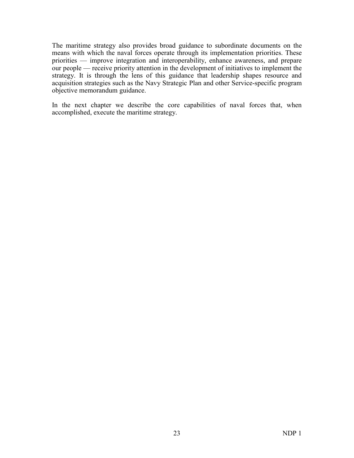The maritime strategy also provides broad guidance to subordinate documents on the means with which the naval forces operate through its implementation priorities. These priorities — improve integration and interoperability, enhance awareness, and prepare our people — receive priority attention in the development of initiatives to implement the strategy. It is through the lens of this guidance that leadership shapes resource and acquisition strategies such as the Navy Strategic Plan and other Service-specific program objective memorandum guidance.

In the next chapter we describe the core capabilities of naval forces that, when accomplished, execute the maritime strategy.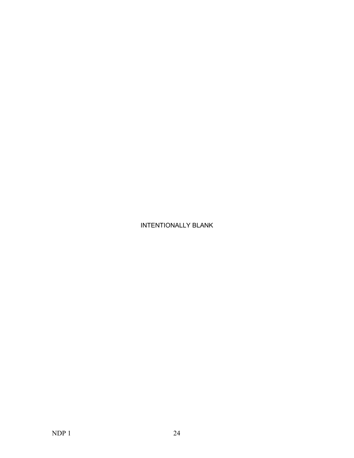## INTENTIONALLY BLANK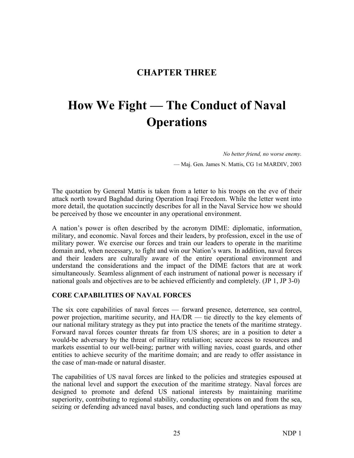## **CHAPTER THREE**

# **How We Fight — The Conduct of Naval Operations**

*No better friend, no worse enemy.*  — Maj. Gen. James N. Mattis, CG 1st MARDIV, 2003

The quotation by General Mattis is taken from a letter to his troops on the eve of their attack north toward Baghdad during Operation Iraqi Freedom. While the letter went into more detail, the quotation succinctly describes for all in the Naval Service how we should be perceived by those we encounter in any operational environment.

A nation's power is often described by the acronym DIME: diplomatic, information, military, and economic. Naval forces and their leaders, by profession, excel in the use of military power. We exercise our forces and train our leaders to operate in the maritime domain and, when necessary, to fight and win our Nation's wars. In addition, naval forces and their leaders are culturally aware of the entire operational environment and understand the considerations and the impact of the DIME factors that are at work simultaneously. Seamless alignment of each instrument of national power is necessary if national goals and objectives are to be achieved efficiently and completely. (JP 1, JP 3-0)

#### **CORE CAPABILITIES OF NAVAL FORCES**

The six core capabilities of naval forces — forward presence, deterrence, sea control, power projection, maritime security, and HA/DR — tie directly to the key elements of our national military strategy as they put into practice the tenets of the maritime strategy. Forward naval forces counter threats far from US shores; are in a position to deter a would-be adversary by the threat of military retaliation; secure access to resources and markets essential to our well-being; partner with willing navies, coast guards, and other entities to achieve security of the maritime domain; and are ready to offer assistance in the case of man-made or natural disaster.

The capabilities of US naval forces are linked to the policies and strategies espoused at the national level and support the execution of the maritime strategy. Naval forces are designed to promote and defend US national interests by maintaining maritime superiority, contributing to regional stability, conducting operations on and from the sea, seizing or defending advanced naval bases, and conducting such land operations as may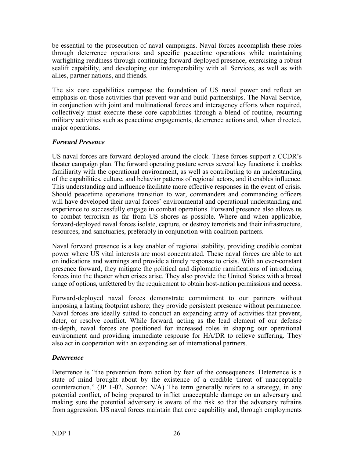be essential to the prosecution of naval campaigns. Naval forces accomplish these roles through deterrence operations and specific peacetime operations while maintaining warfighting readiness through continuing forward-deployed presence, exercising a robust sealift capability, and developing our interoperability with all Services, as well as with allies, partner nations, and friends.

The six core capabilities compose the foundation of US naval power and reflect an emphasis on those activities that prevent war and build partnerships. The Naval Service, in conjunction with joint and multinational forces and interagency efforts when required, collectively must execute these core capabilities through a blend of routine, recurring military activities such as peacetime engagements, deterrence actions and, when directed, major operations.

## *Forward Presence*

US naval forces are forward deployed around the clock. These forces support a CCDR's theater campaign plan. The forward operating posture serves several key functions: it enables familiarity with the operational environment, as well as contributing to an understanding of the capabilities, culture, and behavior patterns of regional actors, and it enables influence. This understanding and influence facilitate more effective responses in the event of crisis. Should peacetime operations transition to war, commanders and commanding officers will have developed their naval forces' environmental and operational understanding and experience to successfully engage in combat operations. Forward presence also allows us to combat terrorism as far from US shores as possible. Where and when applicable, forward-deployed naval forces isolate, capture, or destroy terrorists and their infrastructure, resources, and sanctuaries, preferably in conjunction with coalition partners.

Naval forward presence is a key enabler of regional stability, providing credible combat power where US vital interests are most concentrated. These naval forces are able to act on indications and warnings and provide a timely response to crisis. With an ever-constant presence forward, they mitigate the political and diplomatic ramifications of introducing forces into the theater when crises arise. They also provide the United States with a broad range of options, unfettered by the requirement to obtain host-nation permissions and access.

Forward-deployed naval forces demonstrate commitment to our partners without imposing a lasting footprint ashore; they provide persistent presence without permanence. Naval forces are ideally suited to conduct an expanding array of activities that prevent, deter, or resolve conflict. While forward, acting as the lead element of our defense in-depth, naval forces are positioned for increased roles in shaping our operational environment and providing immediate response for HA/DR to relieve suffering. They also act in cooperation with an expanding set of international partners.

## *Deterrence*

Deterrence is "the prevention from action by fear of the consequences. Deterrence is a state of mind brought about by the existence of a credible threat of unacceptable counteraction." (JP 1-02. Source: N/A) The term generally refers to a strategy, in any potential conflict, of being prepared to inflict unacceptable damage on an adversary and making sure the potential adversary is aware of the risk so that the adversary refrains from aggression. US naval forces maintain that core capability and, through employments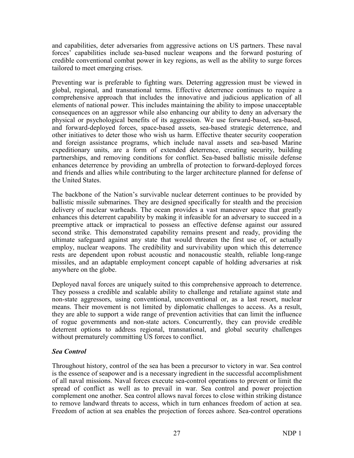and capabilities, deter adversaries from aggressive actions on US partners. These naval forces' capabilities include sea-based nuclear weapons and the forward posturing of credible conventional combat power in key regions, as well as the ability to surge forces tailored to meet emerging crises.

Preventing war is preferable to fighting wars. Deterring aggression must be viewed in global, regional, and transnational terms. Effective deterrence continues to require a comprehensive approach that includes the innovative and judicious application of all elements of national power. This includes maintaining the ability to impose unacceptable consequences on an aggressor while also enhancing our ability to deny an adversary the physical or psychological benefits of its aggression. We use forward-based, sea-based, and forward-deployed forces, space-based assets, sea-based strategic deterrence, and other initiatives to deter those who wish us harm. Effective theater security cooperation and foreign assistance programs, which include naval assets and sea-based Marine expeditionary units, are a form of extended deterrence, creating security, building partnerships, and removing conditions for conflict. Sea-based ballistic missile defense enhances deterrence by providing an umbrella of protection to forward-deployed forces and friends and allies while contributing to the larger architecture planned for defense of the United States.

The backbone of the Nation's survivable nuclear deterrent continues to be provided by ballistic missile submarines. They are designed specifically for stealth and the precision delivery of nuclear warheads. The ocean provides a vast maneuver space that greatly enhances this deterrent capability by making it infeasible for an adversary to succeed in a preemptive attack or impractical to possess an effective defense against our assured second strike. This demonstrated capability remains present and ready, providing the ultimate safeguard against any state that would threaten the first use of, or actually employ, nuclear weapons. The credibility and survivability upon which this deterrence rests are dependent upon robust acoustic and nonacoustic stealth, reliable long-range missiles, and an adaptable employment concept capable of holding adversaries at risk anywhere on the globe.

Deployed naval forces are uniquely suited to this comprehensive approach to deterrence. They possess a credible and scalable ability to challenge and retaliate against state and non-state aggressors, using conventional, unconventional or, as a last resort, nuclear means. Their movement is not limited by diplomatic challenges to access. As a result, they are able to support a wide range of prevention activities that can limit the influence of rogue governments and non-state actors. Concurrently, they can provide credible deterrent options to address regional, transnational, and global security challenges without prematurely committing US forces to conflict.

## *Sea Control*

Throughout history, control of the sea has been a precursor to victory in war. Sea control is the essence of seapower and is a necessary ingredient in the successful accomplishment of all naval missions. Naval forces execute sea-control operations to prevent or limit the spread of conflict as well as to prevail in war. Sea control and power projection complement one another. Sea control allows naval forces to close within striking distance to remove landward threats to access, which in turn enhances freedom of action at sea. Freedom of action at sea enables the projection of forces ashore. Sea-control operations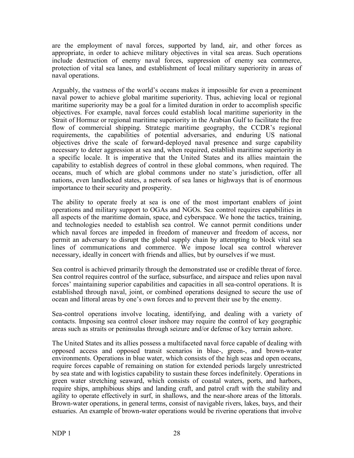are the employment of naval forces, supported by land, air, and other forces as appropriate, in order to achieve military objectives in vital sea areas. Such operations include destruction of enemy naval forces, suppression of enemy sea commerce, protection of vital sea lanes, and establishment of local military superiority in areas of naval operations.

Arguably, the vastness of the world's oceans makes it impossible for even a preeminent naval power to achieve global maritime superiority. Thus, achieving local or regional maritime superiority may be a goal for a limited duration in order to accomplish specific objectives. For example, naval forces could establish local maritime superiority in the Strait of Hormuz or regional maritime superiority in the Arabian Gulf to facilitate the free flow of commercial shipping. Strategic maritime geography, the CCDR's regional requirements, the capabilities of potential adversaries, and enduring US national objectives drive the scale of forward-deployed naval presence and surge capability necessary to deter aggression at sea and, when required, establish maritime superiority in a specific locale. It is imperative that the United States and its allies maintain the capability to establish degrees of control in these global commons, when required. The oceans, much of which are global commons under no state's jurisdiction, offer all nations, even landlocked states, a network of sea lanes or highways that is of enormous importance to their security and prosperity.

The ability to operate freely at sea is one of the most important enablers of joint operations and military support to OGAs and NGOs. Sea control requires capabilities in all aspects of the maritime domain, space, and cyberspace. We hone the tactics, training, and technologies needed to establish sea control. We cannot permit conditions under which naval forces are impeded in freedom of maneuver and freedom of access, nor permit an adversary to disrupt the global supply chain by attempting to block vital sea lines of communications and commerce. We impose local sea control wherever necessary, ideally in concert with friends and allies, but by ourselves if we must.

Sea control is achieved primarily through the demonstrated use or credible threat of force. Sea control requires control of the surface, subsurface, and airspace and relies upon naval forces' maintaining superior capabilities and capacities in all sea-control operations. It is established through naval, joint, or combined operations designed to secure the use of ocean and littoral areas by one's own forces and to prevent their use by the enemy.

Sea-control operations involve locating, identifying, and dealing with a variety of contacts. Imposing sea control closer inshore may require the control of key geographic areas such as straits or peninsulas through seizure and/or defense of key terrain ashore.

The United States and its allies possess a multifaceted naval force capable of dealing with opposed access and opposed transit scenarios in blue-, green-, and brown-water environments. Operations in blue water, which consists of the high seas and open oceans, require forces capable of remaining on station for extended periods largely unrestricted by sea state and with logistics capability to sustain these forces indefinitely. Operations in green water stretching seaward, which consists of coastal waters, ports, and harbors, require ships, amphibious ships and landing craft, and patrol craft with the stability and agility to operate effectively in surf, in shallows, and the near-shore areas of the littorals. Brown-water operations, in general terms, consist of navigable rivers, lakes, bays, and their estuaries. An example of brown-water operations would be riverine operations that involve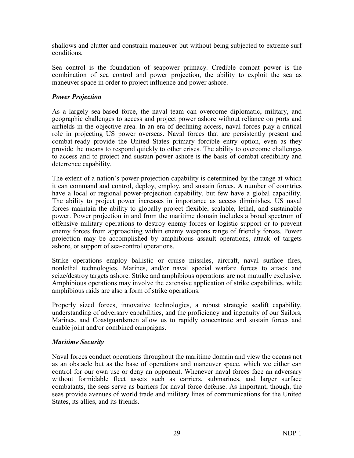shallows and clutter and constrain maneuver but without being subjected to extreme surf conditions.

Sea control is the foundation of seapower primacy. Credible combat power is the combination of sea control and power projection, the ability to exploit the sea as maneuver space in order to project influence and power ashore.

## *Power Projection*

As a largely sea-based force, the naval team can overcome diplomatic, military, and geographic challenges to access and project power ashore without reliance on ports and airfields in the objective area. In an era of declining access, naval forces play a critical role in projecting US power overseas. Naval forces that are persistently present and combat-ready provide the United States primary forcible entry option, even as they provide the means to respond quickly to other crises. The ability to overcome challenges to access and to project and sustain power ashore is the basis of combat credibility and deterrence capability.

The extent of a nation's power-projection capability is determined by the range at which it can command and control, deploy, employ, and sustain forces. A number of countries have a local or regional power-projection capability, but few have a global capability. The ability to project power increases in importance as access diminishes. US naval forces maintain the ability to globally project flexible, scalable, lethal, and sustainable power. Power projection in and from the maritime domain includes a broad spectrum of offensive military operations to destroy enemy forces or logistic support or to prevent enemy forces from approaching within enemy weapons range of friendly forces. Power projection may be accomplished by amphibious assault operations, attack of targets ashore, or support of sea-control operations.

Strike operations employ ballistic or cruise missiles, aircraft, naval surface fires, nonlethal technologies, Marines, and/or naval special warfare forces to attack and seize/destroy targets ashore. Strike and amphibious operations are not mutually exclusive. Amphibious operations may involve the extensive application of strike capabilities, while amphibious raids are also a form of strike operations.

Properly sized forces, innovative technologies, a robust strategic sealift capability, understanding of adversary capabilities, and the proficiency and ingenuity of our Sailors, Marines, and Coastguardsmen allow us to rapidly concentrate and sustain forces and enable joint and/or combined campaigns.

## *Maritime Security*

Naval forces conduct operations throughout the maritime domain and view the oceans not as an obstacle but as the base of operations and maneuver space, which we either can control for our own use or deny an opponent. Whenever naval forces face an adversary without formidable fleet assets such as carriers, submarines, and larger surface combatants, the seas serve as barriers for naval force defense. As important, though, the seas provide avenues of world trade and military lines of communications for the United States, its allies, and its friends.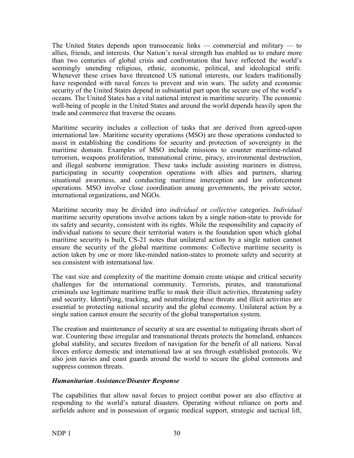The United States depends upon transoceanic links — commercial and military — to allies, friends, and interests. Our Nation's naval strength has enabled us to endure more than two centuries of global crisis and confrontation that have reflected the world's seemingly unending religious, ethnic, economic, political, and ideological strife. Whenever these crises have threatened US national interests, our leaders traditionally have responded with naval forces to prevent and win wars. The safety and economic security of the United States depend in substantial part upon the secure use of the world's oceans. The United States has a vital national interest in maritime security. The economic well-being of people in the United States and around the world depends heavily upon the trade and commerce that traverse the oceans.

Maritime security includes a collection of tasks that are derived from agreed-upon international law. Maritime security operations (MSO) are those operations conducted to assist in establishing the conditions for security and protection of sovereignty in the maritime domain. Examples of MSO include missions to counter maritime-related terrorism, weapons proliferation, transnational crime, piracy, environmental destruction, and illegal seaborne immigration. These tasks include assisting mariners in distress, participating in security cooperation operations with allies and partners, sharing situational awareness, and conducting maritime interception and law enforcement operations. MSO involve close coordination among governments, the private sector, international organizations, and NGOs.

Maritime security may be divided into *individual* or *collective* categories. *Individual* maritime security operations involve actions taken by a single nation-state to provide for its safety and security, consistent with its rights. While the responsibility and capacity of individual nations to secure their territorial waters is the foundation upon which global maritime security is built, CS-21 notes that unilateral action by a single nation cannot ensure the security of the global maritime commons: Collective maritime security is action taken by one or more like-minded nation-states to promote safety and security at sea consistent with international law.

The vast size and complexity of the maritime domain create unique and critical security challenges for the international community. Terrorists, pirates, and transnational criminals use legitimate maritime traffic to mask their illicit activities, threatening safety and security. Identifying, tracking, and neutralizing these threats and illicit activities are essential to protecting national security and the global economy. Unilateral action by a single nation cannot ensure the security of the global transportation system.

The creation and maintenance of security at sea are essential to mitigating threats short of war. Countering these irregular and transnational threats protects the homeland, enhances global stability, and secures freedom of navigation for the benefit of all nations. Naval forces enforce domestic and international law at sea through established protocols. We also join navies and coast guards around the world to secure the global commons and suppress common threats.

## *Humanitarian Assistance/Disaster Response*

The capabilities that allow naval forces to project combat power are also effective at responding to the world's natural disasters. Operating without reliance on ports and airfields ashore and in possession of organic medical support, strategic and tactical lift,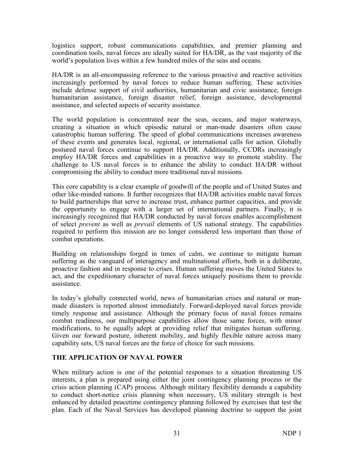logistics support, robust communications capabilities, and premier planning and coordination tools, naval forces are ideally suited for HA/DR, as the vast majority of the world's population lives within a few hundred miles of the seas and oceans.

HA/DR is an all-encompassing reference to the various proactive and reactive activities increasingly performed by naval forces to reduce human suffering. These activities include defense support of civil authorities, humanitarian and civic assistance, foreign humanitarian assistance, foreign disaster relief, foreign assistance, developmental assistance, and selected aspects of security assistance.

The world population is concentrated near the seas, oceans, and major waterways, creating a situation in which episodic natural or man-made disasters often cause catastrophic human suffering. The speed of global communications increases awareness of these events and generates local, regional, or international calls for action. Globally postured naval forces continue to support HA/DR. Additionally, CCDRs increasingly employ HA/DR forces and capabilities in a proactive way to promote stability. The challenge to US naval forces is to enhance the ability to conduct HA/DR without compromising the ability to conduct more traditional naval missions.

This core capability is a clear example of goodwill of the people and of United States and other like-minded nations. It further recognizes that HA/DR activities enable naval forces to build partnerships that serve to increase trust, enhance partner capacities, and provide the opportunity to engage with a larger set of international partners. Finally, it is increasingly recognized that HA/DR conducted by naval forces enables accomplishment of select *prevent* as well as *prevail* elements of US national strategy. The capabilities required to perform this mission are no longer considered less important than those of combat operations.

Building on relationships forged in times of calm, we continue to mitigate human suffering as the vanguard of interagency and multinational efforts, both in a deliberate, proactive fashion and in response to crises. Human suffering moves the United States to act, and the expeditionary character of naval forces uniquely positions them to provide assistance.

In today's globally connected world, news of humanitarian crises and natural or manmade disasters is reported almost immediately. Forward-deployed naval forces provide timely response and assistance. Although the primary focus of naval forces remains combat readiness, our multipurpose capabilities allow those same forces, with minor modifications, to be equally adept at providing relief that mitigates human suffering. Given our forward posture, inherent mobility, and highly flexible nature across many capability sets, US naval forces are the force of choice for such missions.

## **THE APPLICATION OF NAVAL POWER**

When military action is one of the potential responses to a situation threatening US interests, a plan is prepared using either the joint contingency planning process or the crisis action planning (CAP) process. Although military flexibility demands a capability to conduct short-notice crisis planning when necessary, US military strength is best enhanced by detailed peacetime contingency planning followed by exercises that test the plan. Each of the Naval Services has developed planning doctrine to support the joint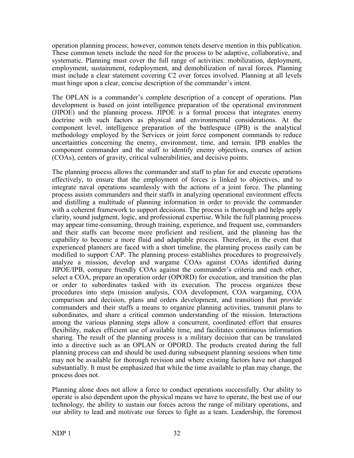operation planning process; however, common tenets deserve mention in this publication. These common tenets include the need for the process to be adaptive, collaborative, and systematic. Planning must cover the full range of activities: mobilization, deployment, employment, sustainment, redeployment, and demobilization of naval forces. Planning must include a clear statement covering C2 over forces involved. Planning at all levels must hinge upon a clear, concise description of the commander's intent.

The OPLAN is a commander's complete description of a concept of operations. Plan development is based on joint intelligence preparation of the operational environment (JIPOE) and the planning process. JIPOE is a formal process that integrates enemy doctrine with such factors as physical and environmental considerations. At the component level, intelligence preparation of the battlespace (IPB) is the analytical methodology employed by the Services or joint force component commands to reduce uncertainties concerning the enemy, environment, time, and terrain. IPB enables the component commander and the staff to identify enemy objectives, courses of action (COAs), centers of gravity, critical vulnerabilities, and decisive points.

The planning process allows the commander and staff to plan for and execute operations effectively, to ensure that the employment of forces is linked to objectives, and to integrate naval operations seamlessly with the actions of a joint force. The planning process assists commanders and their staffs in analyzing operational environment effects and distilling a multitude of planning information in order to provide the commander with a coherent framework to support decisions. The process is thorough and helps apply clarity, sound judgment, logic, and professional expertise. While the full planning process may appear time-consuming, through training, experience, and frequent use, commanders and their staffs can become more proficient and resilient, and the planning has the capability to become a more fluid and adaptable process. Therefore, in the event that experienced planners are faced with a short timeline, the planning process easily can be modified to support CAP. The planning process establishes procedures to progressively analyze a mission, develop and wargame COAs against COAs identified during JIPOE/IPB, compare friendly COAs against the commander's criteria and each other, select a COA, prepare an operation order (OPORD) for execution, and transition the plan or order to subordinates tasked with its execution. The process organizes these procedures into steps (mission analysis, COA development, COA wargaming, COA comparison and decision, plans and orders development, and transition) that provide commanders and their staffs a means to organize planning activities, transmit plans to subordinates, and share a critical common understanding of the mission. Interactions among the various planning steps allow a concurrent, coordinated effort that ensures flexibility, makes efficient use of available time, and facilitates continuous information sharing. The result of the planning process is a military decision that can be translated into a directive such as an OPLAN or OPORD. The products created during the full planning process can and should be used during subsequent planning sessions when time may not be available for thorough revision and where existing factors have not changed substantially. It must be emphasized that while the time available to plan may change, the process does not.

Planning alone does not allow a force to conduct operations successfully. Our ability to operate is also dependent upon the physical means we have to operate, the best use of our technology, the ability to sustain our forces across the range of military operations, and our ability to lead and motivate our forces to fight as a team. Leadership, the foremost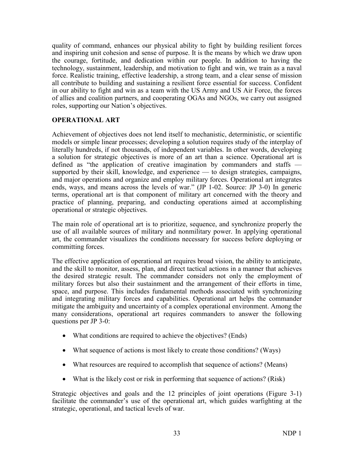quality of command, enhances our physical ability to fight by building resilient forces and inspiring unit cohesion and sense of purpose. It is the means by which we draw upon the courage, fortitude, and dedication within our people. In addition to having the technology, sustainment, leadership, and motivation to fight and win, we train as a naval force. Realistic training, effective leadership, a strong team, and a clear sense of mission all contribute to building and sustaining a resilient force essential for success. Confident in our ability to fight and win as a team with the US Army and US Air Force, the forces of allies and coalition partners, and cooperating OGAs and NGOs, we carry out assigned roles, supporting our Nation's objectives.

## **OPERATIONAL ART**

Achievement of objectives does not lend itself to mechanistic, deterministic, or scientific models or simple linear processes; developing a solution requires study of the interplay of literally hundreds, if not thousands, of independent variables. In other words, developing a solution for strategic objectives is more of an art than a science. Operational art is defined as "the application of creative imagination by commanders and staffs supported by their skill, knowledge, and experience — to design strategies, campaigns, and major operations and organize and employ military forces. Operational art integrates ends, ways, and means across the levels of war." (JP 1-02. Source: JP 3-0) In generic terms, operational art is that component of military art concerned with the theory and practice of planning, preparing, and conducting operations aimed at accomplishing operational or strategic objectives.

The main role of operational art is to prioritize, sequence, and synchronize properly the use of all available sources of military and nonmilitary power. In applying operational art, the commander visualizes the conditions necessary for success before deploying or committing forces.

The effective application of operational art requires broad vision, the ability to anticipate, and the skill to monitor, assess, plan, and direct tactical actions in a manner that achieves the desired strategic result. The commander considers not only the employment of military forces but also their sustainment and the arrangement of their efforts in time, space, and purpose. This includes fundamental methods associated with synchronizing and integrating military forces and capabilities. Operational art helps the commander mitigate the ambiguity and uncertainty of a complex operational environment. Among the many considerations, operational art requires commanders to answer the following questions per JP 3-0:

- What conditions are required to achieve the objectives? (Ends)
- What sequence of actions is most likely to create those conditions? (Ways)
- What resources are required to accomplish that sequence of actions? (Means)
- What is the likely cost or risk in performing that sequence of actions? (Risk)

Strategic objectives and goals and the 12 principles of joint operations (Figure 3-1) facilitate the commander's use of the operational art, which guides warfighting at the strategic, operational, and tactical levels of war.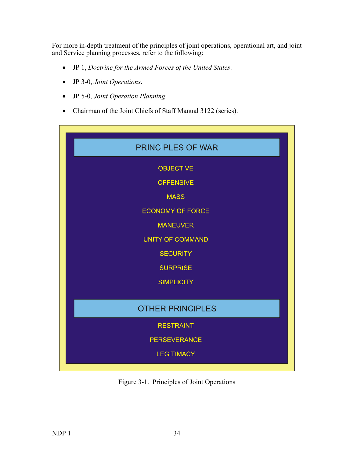For more in-depth treatment of the principles of joint operations, operational art, and joint and Service planning processes, refer to the following:

- JP 1, *Doctrine for the Armed Forces of the United States*.
- JP 3-0, *Joint Operations*.
- JP 5-0, *Joint Operation Planning*.
- Chairman of the Joint Chiefs of Staff Manual 3122 (series).

| <b>PRINCIPLES OF WAR</b> |
|--------------------------|
| <b>OBJECTIVE</b>         |
| <b>OFFENSIVE</b>         |
| <b>MASS</b>              |
| <b>ECONOMY OF FORCE</b>  |
| <b>MANEUVER</b>          |
| <b>UNITY OF COMMAND</b>  |
| <b>SECURITY</b>          |
| <b>SURPRISE</b>          |
| <b>SIMPLICITY</b>        |
|                          |
| <b>OTHER PRINCIPLES</b>  |
| <b>RESTRAINT</b>         |
| <b>PERSEVERANCE</b>      |
| <b>LEGITIMACY</b>        |
|                          |

Figure 3-1. Principles of Joint Operations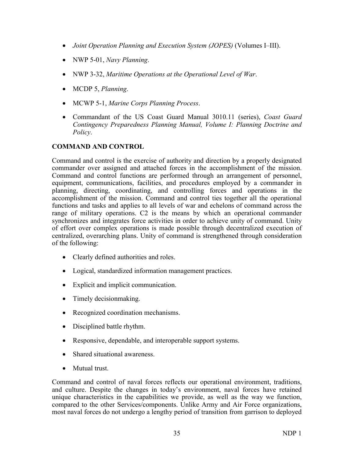- *Joint Operation Planning and Execution System (JOPES)* (Volumes I–III).
- NWP 5-01, *Navy Planning*.
- NWP 3-32, *Maritime Operations at the Operational Level of War*.
- MCDP 5, *Planning*.
- MCWP 5-1, *Marine Corps Planning Process*.
- Commandant of the US Coast Guard Manual 3010.11 (series), *Coast Guard Contingency Preparedness Planning Manual, Volume I: Planning Doctrine and Policy*.

## **COMMAND AND CONTROL**

Command and control is the exercise of authority and direction by a properly designated commander over assigned and attached forces in the accomplishment of the mission. Command and control functions are performed through an arrangement of personnel, equipment, communications, facilities, and procedures employed by a commander in planning, directing, coordinating, and controlling forces and operations in the accomplishment of the mission. Command and control ties together all the operational functions and tasks and applies to all levels of war and echelons of command across the range of military operations. C2 is the means by which an operational commander synchronizes and integrates force activities in order to achieve unity of command. Unity of effort over complex operations is made possible through decentralized execution of centralized, overarching plans. Unity of command is strengthened through consideration of the following:

- Clearly defined authorities and roles.
- Logical, standardized information management practices.
- Explicit and implicit communication.
- Timely decision making.
- Recognized coordination mechanisms.
- Disciplined battle rhythm.
- Responsive, dependable, and interoperable support systems.
- Shared situational awareness
- Mutual trust.

Command and control of naval forces reflects our operational environment, traditions, and culture. Despite the changes in today's environment, naval forces have retained unique characteristics in the capabilities we provide, as well as the way we function, compared to the other Services/components. Unlike Army and Air Force organizations, most naval forces do not undergo a lengthy period of transition from garrison to deployed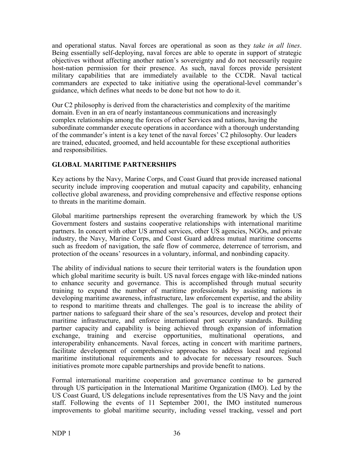and operational status. Naval forces are operational as soon as they *take in all lines*. Being essentially self-deploying, naval forces are able to operate in support of strategic objectives without affecting another nation's sovereignty and do not necessarily require host-nation permission for their presence. As such, naval forces provide persistent military capabilities that are immediately available to the CCDR. Naval tactical commanders are expected to take initiative using the operational-level commander's guidance, which defines what needs to be done but not how to do it.

Our C2 philosophy is derived from the characteristics and complexity of the maritime domain. Even in an era of nearly instantaneous communications and increasingly complex relationships among the forces of other Services and nations, having the subordinate commander execute operations in accordance with a thorough understanding of the commander's intent is a key tenet of the naval forces' C2 philosophy. Our leaders are trained, educated, groomed, and held accountable for these exceptional authorities and responsibilities.

## **GLOBAL MARITIME PARTNERSHIPS**

Key actions by the Navy, Marine Corps, and Coast Guard that provide increased national security include improving cooperation and mutual capacity and capability, enhancing collective global awareness, and providing comprehensive and effective response options to threats in the maritime domain.

Global maritime partnerships represent the overarching framework by which the US Government fosters and sustains cooperative relationships with international maritime partners. In concert with other US armed services, other US agencies, NGOs, and private industry, the Navy, Marine Corps, and Coast Guard address mutual maritime concerns such as freedom of navigation, the safe flow of commerce, deterrence of terrorism, and protection of the oceans' resources in a voluntary, informal, and nonbinding capacity.

The ability of individual nations to secure their territorial waters is the foundation upon which global maritime security is built. US naval forces engage with like-minded nations to enhance security and governance. This is accomplished through mutual security training to expand the number of maritime professionals by assisting nations in developing maritime awareness, infrastructure, law enforcement expertise, and the ability to respond to maritime threats and challenges. The goal is to increase the ability of partner nations to safeguard their share of the sea's resources, develop and protect their maritime infrastructure, and enforce international port security standards. Building partner capacity and capability is being achieved through expansion of information exchange, training and exercise opportunities, multinational operations, and interoperability enhancements. Naval forces, acting in concert with maritime partners, facilitate development of comprehensive approaches to address local and regional maritime institutional requirements and to advocate for necessary resources. Such initiatives promote more capable partnerships and provide benefit to nations.

Formal international maritime cooperation and governance continue to be garnered through US participation in the International Maritime Organization (IMO). Led by the US Coast Guard, US delegations include representatives from the US Navy and the joint staff. Following the events of 11 September 2001, the IMO instituted numerous improvements to global maritime security, including vessel tracking, vessel and port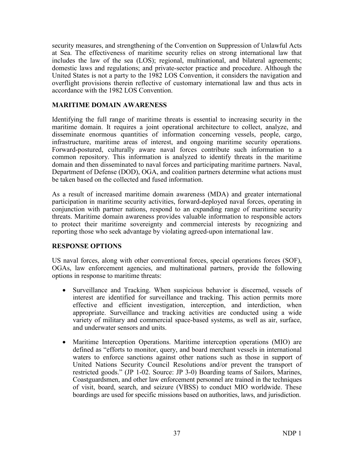security measures, and strengthening of the Convention on Suppression of Unlawful Acts at Sea. The effectiveness of maritime security relies on strong international law that includes the law of the sea (LOS); regional, multinational, and bilateral agreements; domestic laws and regulations; and private-sector practice and procedure. Although the United States is not a party to the 1982 LOS Convention, it considers the navigation and overflight provisions therein reflective of customary international law and thus acts in accordance with the 1982 LOS Convention.

#### **MARITIME DOMAIN AWARENESS**

Identifying the full range of maritime threats is essential to increasing security in the maritime domain. It requires a joint operational architecture to collect, analyze, and disseminate enormous quantities of information concerning vessels, people, cargo, infrastructure, maritime areas of interest, and ongoing maritime security operations. Forward-postured, culturally aware naval forces contribute such information to a common repository. This information is analyzed to identify threats in the maritime domain and then disseminated to naval forces and participating maritime partners. Naval, Department of Defense (DOD), OGA, and coalition partners determine what actions must be taken based on the collected and fused information.

As a result of increased maritime domain awareness (MDA) and greater international participation in maritime security activities, forward-deployed naval forces, operating in conjunction with partner nations, respond to an expanding range of maritime security threats. Maritime domain awareness provides valuable information to responsible actors to protect their maritime sovereignty and commercial interests by recognizing and reporting those who seek advantage by violating agreed-upon international law.

## **RESPONSE OPTIONS**

US naval forces, along with other conventional forces, special operations forces (SOF), OGAs, law enforcement agencies, and multinational partners, provide the following options in response to maritime threats:

- Surveillance and Tracking. When suspicious behavior is discerned, vessels of interest are identified for surveillance and tracking. This action permits more effective and efficient investigation, interception, and interdiction, when appropriate. Surveillance and tracking activities are conducted using a wide variety of military and commercial space-based systems, as well as air, surface, and underwater sensors and units.
- Maritime Interception Operations. Maritime interception operations (MIO) are defined as "efforts to monitor, query, and board merchant vessels in international waters to enforce sanctions against other nations such as those in support of United Nations Security Council Resolutions and/or prevent the transport of restricted goods." (JP 1-02. Source: JP 3-0) Boarding teams of Sailors, Marines, Coastguardsmen, and other law enforcement personnel are trained in the techniques of visit, board, search, and seizure (VBSS) to conduct MIO worldwide. These boardings are used for specific missions based on authorities, laws, and jurisdiction.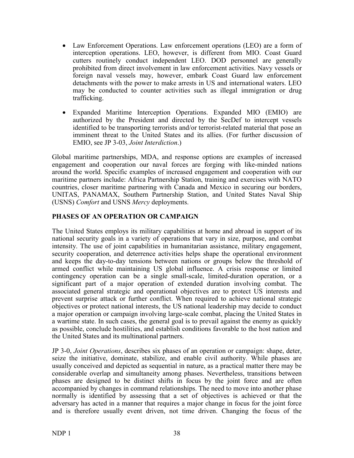- Law Enforcement Operations. Law enforcement operations (LEO) are a form of interception operations. LEO, however, is different from MIO. Coast Guard cutters routinely conduct independent LEO. DOD personnel are generally prohibited from direct involvement in law enforcement activities. Navy vessels or foreign naval vessels may, however, embark Coast Guard law enforcement detachments with the power to make arrests in US and international waters. LEO may be conducted to counter activities such as illegal immigration or drug trafficking.
- Expanded Maritime Interception Operations. Expanded MIO (EMIO) are authorized by the President and directed by the SecDef to intercept vessels identified to be transporting terrorists and/or terrorist-related material that pose an imminent threat to the United States and its allies. (For further discussion of EMIO, see JP 3-03, *Joint Interdiction*.)

Global maritime partnerships, MDA, and response options are examples of increased engagement and cooperation our naval forces are forging with like-minded nations around the world. Specific examples of increased engagement and cooperation with our maritime partners include: Africa Partnership Station, training and exercises with NATO countries, closer maritime partnering with Canada and Mexico in securing our borders, UNITAS, PANAMAX, Southern Partnership Station, and United States Naval Ship (USNS) *Comfort* and USNS *Mercy* deployments.

## **PHASES OF AN OPERATION OR CAMPAIGN**

The United States employs its military capabilities at home and abroad in support of its national security goals in a variety of operations that vary in size, purpose, and combat intensity. The use of joint capabilities in humanitarian assistance, military engagement, security cooperation, and deterrence activities helps shape the operational environment and keeps the day-to-day tensions between nations or groups below the threshold of armed conflict while maintaining US global influence. A crisis response or limited contingency operation can be a single small-scale, limited-duration operation, or a significant part of a major operation of extended duration involving combat. The associated general strategic and operational objectives are to protect US interests and prevent surprise attack or further conflict. When required to achieve national strategic objectives or protect national interests, the US national leadership may decide to conduct a major operation or campaign involving large-scale combat, placing the United States in a wartime state. In such cases, the general goal is to prevail against the enemy as quickly as possible, conclude hostilities, and establish conditions favorable to the host nation and the United States and its multinational partners.

JP 3-0, *Joint Operations*, describes six phases of an operation or campaign: shape, deter, seize the initiative, dominate, stabilize, and enable civil authority. While phases are usually conceived and depicted as sequential in nature, as a practical matter there may be considerable overlap and simultaneity among phases. Nevertheless, transitions between phases are designed to be distinct shifts in focus by the joint force and are often accompanied by changes in command relationships. The need to move into another phase normally is identified by assessing that a set of objectives is achieved or that the adversary has acted in a manner that requires a major change in focus for the joint force and is therefore usually event driven, not time driven. Changing the focus of the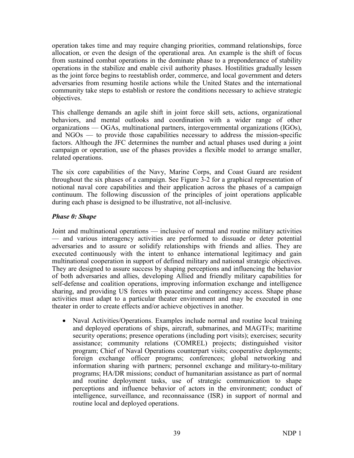operation takes time and may require changing priorities, command relationships, force allocation, or even the design of the operational area. An example is the shift of focus from sustained combat operations in the dominate phase to a preponderance of stability operations in the stabilize and enable civil authority phases. Hostilities gradually lessen as the joint force begins to reestablish order, commerce, and local government and deters adversaries from resuming hostile actions while the United States and the international community take steps to establish or restore the conditions necessary to achieve strategic objectives.

This challenge demands an agile shift in joint force skill sets, actions, organizational behaviors, and mental outlooks and coordination with a wider range of other organizations — OGAs, multinational partners, intergovernmental organizations (IGOs), and NGOs — to provide those capabilities necessary to address the mission-specific factors. Although the JFC determines the number and actual phases used during a joint campaign or operation, use of the phases provides a flexible model to arrange smaller, related operations.

The six core capabilities of the Navy, Marine Corps, and Coast Guard are resident throughout the six phases of a campaign. See Figure 3-2 for a graphical representation of notional naval core capabilities and their application across the phases of a campaign continuum. The following discussion of the principles of joint operations applicable during each phase is designed to be illustrative, not all-inclusive.

## *Phase 0: Shape*

Joint and multinational operations — inclusive of normal and routine military activities — and various interagency activities are performed to dissuade or deter potential adversaries and to assure or solidify relationships with friends and allies. They are executed continuously with the intent to enhance international legitimacy and gain multinational cooperation in support of defined military and national strategic objectives. They are designed to assure success by shaping perceptions and influencing the behavior of both adversaries and allies, developing Allied and friendly military capabilities for self-defense and coalition operations, improving information exchange and intelligence sharing, and providing US forces with peacetime and contingency access. Shape phase activities must adapt to a particular theater environment and may be executed in one theater in order to create effects and/or achieve objectives in another.

• Naval Activities/Operations. Examples include normal and routine local training and deployed operations of ships, aircraft, submarines, and MAGTFs; maritime security operations; presence operations (including port visits); exercises; security assistance; community relations (COMREL) projects; distinguished visitor program; Chief of Naval Operations counterpart visits; cooperative deployments; foreign exchange officer programs; conferences; global networking and information sharing with partners; personnel exchange and military-to-military programs; HA/DR missions; conduct of humanitarian assistance as part of normal and routine deployment tasks, use of strategic communication to shape perceptions and influence behavior of actors in the environment; conduct of intelligence, surveillance, and reconnaissance (ISR) in support of normal and routine local and deployed operations.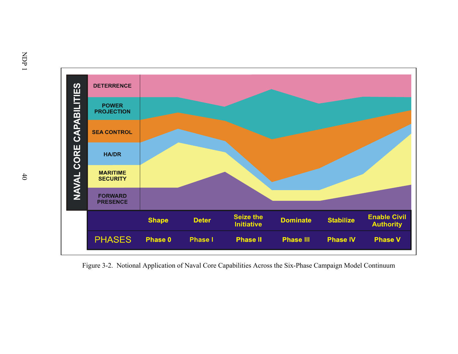

Figure 3-2. Notional Application of Naval Core Capabilities Across the Six-Phase Campaign Model Continuum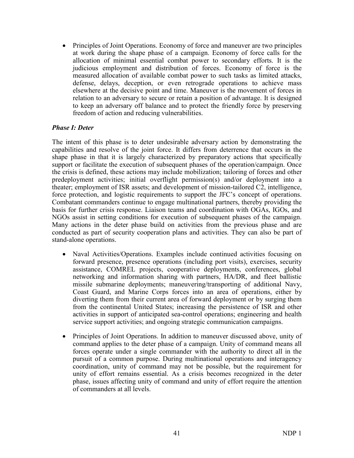Principles of Joint Operations. Economy of force and maneuver are two principles at work during the shape phase of a campaign. Economy of force calls for the allocation of minimal essential combat power to secondary efforts. It is the judicious employment and distribution of forces. Economy of force is the measured allocation of available combat power to such tasks as limited attacks, defense, delays, deception, or even retrograde operations to achieve mass elsewhere at the decisive point and time. Maneuver is the movement of forces in relation to an adversary to secure or retain a position of advantage. It is designed to keep an adversary off balance and to protect the friendly force by preserving freedom of action and reducing vulnerabilities.

#### *Phase I: Deter*

The intent of this phase is to deter undesirable adversary action by demonstrating the capabilities and resolve of the joint force. It differs from deterrence that occurs in the shape phase in that it is largely characterized by preparatory actions that specifically support or facilitate the execution of subsequent phases of the operation/campaign. Once the crisis is defined, these actions may include mobilization; tailoring of forces and other predeployment activities; initial overflight permission(s) and/or deployment into a theater; employment of ISR assets; and development of mission-tailored C2, intelligence, force protection, and logistic requirements to support the JFC's concept of operations. Combatant commanders continue to engage multinational partners, thereby providing the basis for further crisis response. Liaison teams and coordination with OGAs, IGOs, and NGOs assist in setting conditions for execution of subsequent phases of the campaign. Many actions in the deter phase build on activities from the previous phase and are conducted as part of security cooperation plans and activities. They can also be part of stand-alone operations.

- Naval Activities/Operations. Examples include continued activities focusing on forward presence, presence operations (including port visits), exercises, security assistance, COMREL projects, cooperative deployments, conferences, global networking and information sharing with partners, HA/DR, and fleet ballistic missile submarine deployments; maneuvering/transporting of additional Navy, Coast Guard, and Marine Corps forces into an area of operations, either by diverting them from their current area of forward deployment or by surging them from the continental United States; increasing the persistence of ISR and other activities in support of anticipated sea-control operations; engineering and health service support activities; and ongoing strategic communication campaigns.
- Principles of Joint Operations. In addition to maneuver discussed above, unity of command applies to the deter phase of a campaign. Unity of command means all forces operate under a single commander with the authority to direct all in the pursuit of a common purpose. During multinational operations and interagency coordination, unity of command may not be possible, but the requirement for unity of effort remains essential. As a crisis becomes recognized in the deter phase, issues affecting unity of command and unity of effort require the attention of commanders at all levels.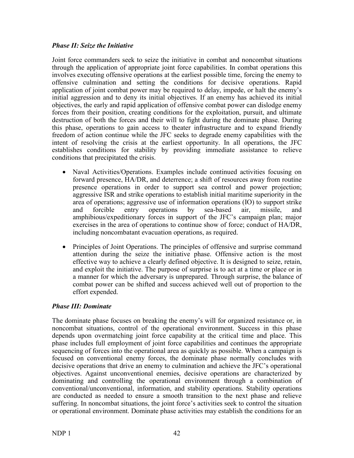#### *Phase II: Seize the Initiative*

Joint force commanders seek to seize the initiative in combat and noncombat situations through the application of appropriate joint force capabilities. In combat operations this involves executing offensive operations at the earliest possible time, forcing the enemy to offensive culmination and setting the conditions for decisive operations. Rapid application of joint combat power may be required to delay, impede, or halt the enemy's initial aggression and to deny its initial objectives. If an enemy has achieved its initial objectives, the early and rapid application of offensive combat power can dislodge enemy forces from their position, creating conditions for the exploitation, pursuit, and ultimate destruction of both the forces and their will to fight during the dominate phase. During this phase, operations to gain access to theater infrastructure and to expand friendly freedom of action continue while the JFC seeks to degrade enemy capabilities with the intent of resolving the crisis at the earliest opportunity. In all operations, the JFC establishes conditions for stability by providing immediate assistance to relieve conditions that precipitated the crisis.

- Naval Activities/Operations. Examples include continued activities focusing on forward presence, HA/DR, and deterrence; a shift of resources away from routine presence operations in order to support sea control and power projection; aggressive ISR and strike operations to establish initial maritime superiority in the area of operations; aggressive use of information operations (IO) to support strike and forcible entry operations by sea-based air, missile, and amphibious/expeditionary forces in support of the JFC's campaign plan; major exercises in the area of operations to continue show of force; conduct of HA/DR, including noncombatant evacuation operations, as required.
- Principles of Joint Operations. The principles of offensive and surprise command attention during the seize the initiative phase. Offensive action is the most effective way to achieve a clearly defined objective. It is designed to seize, retain, and exploit the initiative. The purpose of surprise is to act at a time or place or in a manner for which the adversary is unprepared. Through surprise, the balance of combat power can be shifted and success achieved well out of proportion to the effort expended.

## *Phase III: Dominate*

The dominate phase focuses on breaking the enemy's will for organized resistance or, in noncombat situations, control of the operational environment. Success in this phase depends upon overmatching joint force capability at the critical time and place. This phase includes full employment of joint force capabilities and continues the appropriate sequencing of forces into the operational area as quickly as possible. When a campaign is focused on conventional enemy forces, the dominate phase normally concludes with decisive operations that drive an enemy to culmination and achieve the JFC's operational objectives. Against unconventional enemies, decisive operations are characterized by dominating and controlling the operational environment through a combination of conventional/unconventional, information, and stability operations. Stability operations are conducted as needed to ensure a smooth transition to the next phase and relieve suffering. In noncombat situations, the joint force's activities seek to control the situation or operational environment. Dominate phase activities may establish the conditions for an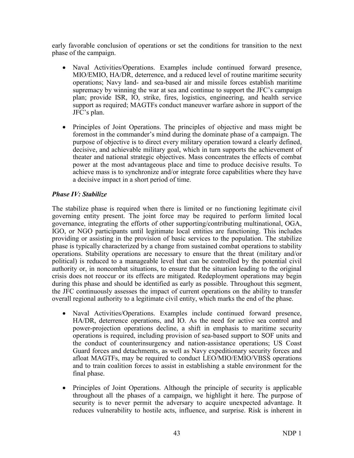early favorable conclusion of operations or set the conditions for transition to the next phase of the campaign.

- Naval Activities/Operations. Examples include continued forward presence, MIO/EMIO, HA/DR, deterrence, and a reduced level of routine maritime security operations; Navy land- and sea-based air and missile forces establish maritime supremacy by winning the war at sea and continue to support the JFC's campaign plan; provide ISR, IO, strike, fires, logistics, engineering, and health service support as required; MAGTFs conduct maneuver warfare ashore in support of the JFC's plan.
- Principles of Joint Operations. The principles of objective and mass might be foremost in the commander's mind during the dominate phase of a campaign. The purpose of objective is to direct every military operation toward a clearly defined, decisive, and achievable military goal, which in turn supports the achievement of theater and national strategic objectives. Mass concentrates the effects of combat power at the most advantageous place and time to produce decisive results. To achieve mass is to synchronize and/or integrate force capabilities where they have a decisive impact in a short period of time.

## *Phase IV: Stabilize*

The stabilize phase is required when there is limited or no functioning legitimate civil governing entity present. The joint force may be required to perform limited local governance, integrating the efforts of other supporting/contributing multinational, OGA, IGO, or NGO participants until legitimate local entities are functioning. This includes providing or assisting in the provision of basic services to the population. The stabilize phase is typically characterized by a change from sustained combat operations to stability operations. Stability operations are necessary to ensure that the threat (military and/or political) is reduced to a manageable level that can be controlled by the potential civil authority or, in noncombat situations, to ensure that the situation leading to the original crisis does not reoccur or its effects are mitigated. Redeployment operations may begin during this phase and should be identified as early as possible. Throughout this segment, the JFC continuously assesses the impact of current operations on the ability to transfer overall regional authority to a legitimate civil entity, which marks the end of the phase.

- Naval Activities/Operations. Examples include continued forward presence, HA/DR, deterrence operations, and IO. As the need for active sea control and power-projection operations decline, a shift in emphasis to maritime security operations is required, including provision of sea-based support to SOF units and the conduct of counterinsurgency and nation-assistance operations; US Coast Guard forces and detachments, as well as Navy expeditionary security forces and afloat MAGTFs, may be required to conduct LEO/MIO/EMIO/VBSS operations and to train coalition forces to assist in establishing a stable environment for the final phase.
- Principles of Joint Operations. Although the principle of security is applicable throughout all the phases of a campaign, we highlight it here. The purpose of security is to never permit the adversary to acquire unexpected advantage. It reduces vulnerability to hostile acts, influence, and surprise. Risk is inherent in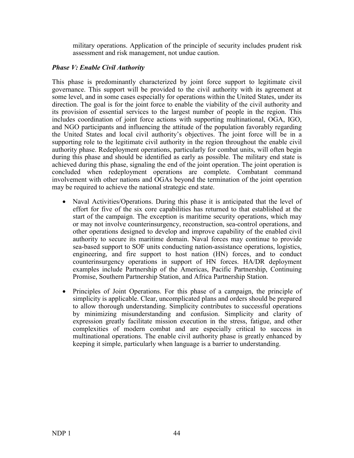military operations. Application of the principle of security includes prudent risk assessment and risk management, not undue caution.

## *Phase V: Enable Civil Authority*

This phase is predominantly characterized by joint force support to legitimate civil governance. This support will be provided to the civil authority with its agreement at some level, and in some cases especially for operations within the United States, under its direction. The goal is for the joint force to enable the viability of the civil authority and its provision of essential services to the largest number of people in the region. This includes coordination of joint force actions with supporting multinational, OGA, IGO, and NGO participants and influencing the attitude of the population favorably regarding the United States and local civil authority's objectives. The joint force will be in a supporting role to the legitimate civil authority in the region throughout the enable civil authority phase. Redeployment operations, particularly for combat units, will often begin during this phase and should be identified as early as possible. The military end state is achieved during this phase, signaling the end of the joint operation. The joint operation is concluded when redeployment operations are complete. Combatant command involvement with other nations and OGAs beyond the termination of the joint operation may be required to achieve the national strategic end state.

- Naval Activities/Operations. During this phase it is anticipated that the level of effort for five of the six core capabilities has returned to that established at the start of the campaign. The exception is maritime security operations, which may or may not involve counterinsurgency, reconstruction, sea-control operations, and other operations designed to develop and improve capability of the enabled civil authority to secure its maritime domain. Naval forces may continue to provide sea-based support to SOF units conducting nation-assistance operations, logistics, engineering, and fire support to host nation (HN) forces, and to conduct counterinsurgency operations in support of HN forces. HA/DR deployment examples include Partnership of the Americas, Pacific Partnership, Continuing Promise, Southern Partnership Station, and Africa Partnership Station.
- Principles of Joint Operations. For this phase of a campaign, the principle of simplicity is applicable. Clear, uncomplicated plans and orders should be prepared to allow thorough understanding. Simplicity contributes to successful operations by minimizing misunderstanding and confusion. Simplicity and clarity of expression greatly facilitate mission execution in the stress, fatigue, and other complexities of modern combat and are especially critical to success in multinational operations. The enable civil authority phase is greatly enhanced by keeping it simple, particularly when language is a barrier to understanding.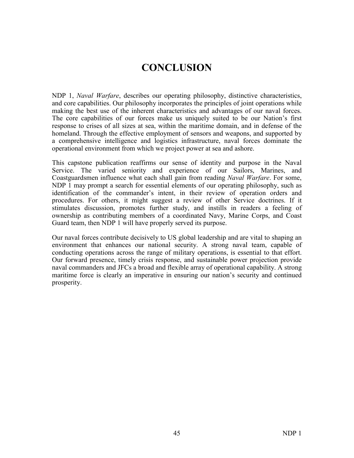# **CONCLUSION**

NDP 1, *Naval Warfare*, describes our operating philosophy, distinctive characteristics, and core capabilities. Our philosophy incorporates the principles of joint operations while making the best use of the inherent characteristics and advantages of our naval forces. The core capabilities of our forces make us uniquely suited to be our Nation's first response to crises of all sizes at sea, within the maritime domain, and in defense of the homeland. Through the effective employment of sensors and weapons, and supported by a comprehensive intelligence and logistics infrastructure, naval forces dominate the operational environment from which we project power at sea and ashore.

This capstone publication reaffirms our sense of identity and purpose in the Naval Service. The varied seniority and experience of our Sailors, Marines, and Coastguardsmen influence what each shall gain from reading *Naval Warfare*. For some, NDP 1 may prompt a search for essential elements of our operating philosophy, such as identification of the commander's intent, in their review of operation orders and procedures. For others, it might suggest a review of other Service doctrines. If it stimulates discussion, promotes further study, and instills in readers a feeling of ownership as contributing members of a coordinated Navy, Marine Corps, and Coast Guard team, then NDP 1 will have properly served its purpose.

Our naval forces contribute decisively to US global leadership and are vital to shaping an environment that enhances our national security. A strong naval team, capable of conducting operations across the range of military operations, is essential to that effort. Our forward presence, timely crisis response, and sustainable power projection provide naval commanders and JFCs a broad and flexible array of operational capability. A strong maritime force is clearly an imperative in ensuring our nation's security and continued prosperity.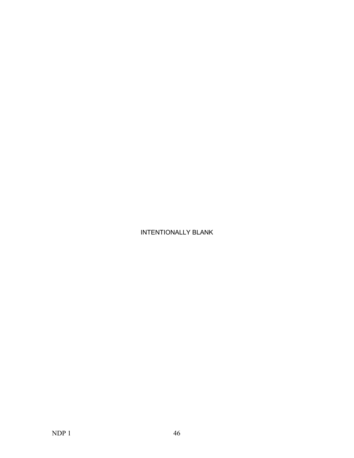## INTENTIONALLY BLANK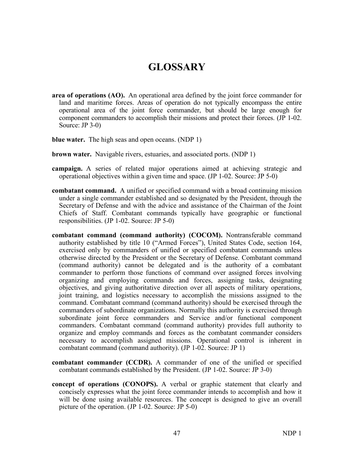## **GLOSSARY**

- **area of operations (AO).** An operational area defined by the joint force commander for land and maritime forces. Areas of operation do not typically encompass the entire operational area of the joint force commander, but should be large enough for component commanders to accomplish their missions and protect their forces. (JP 1-02. Source: JP 3-0)
- **blue water.** The high seas and open oceans. (NDP 1)
- **brown water.** Navigable rivers, estuaries, and associated ports. (NDP 1)
- **campaign.** A series of related major operations aimed at achieving strategic and operational objectives within a given time and space. (JP 1-02. Source: JP 5-0)
- **combatant command.** A unified or specified command with a broad continuing mission under a single commander established and so designated by the President, through the Secretary of Defense and with the advice and assistance of the Chairman of the Joint Chiefs of Staff. Combatant commands typically have geographic or functional responsibilities. (JP 1-02. Source: JP 5-0)
- **combatant command (command authority) (COCOM).** Nontransferable command authority established by title 10 ("Armed Forces"), United States Code, section 164, exercised only by commanders of unified or specified combatant commands unless otherwise directed by the President or the Secretary of Defense. Combatant command (command authority) cannot be delegated and is the authority of a combatant commander to perform those functions of command over assigned forces involving organizing and employing commands and forces, assigning tasks, designating objectives, and giving authoritative direction over all aspects of military operations, joint training, and logistics necessary to accomplish the missions assigned to the command. Combatant command (command authority) should be exercised through the commanders of subordinate organizations. Normally this authority is exercised through subordinate joint force commanders and Service and/or functional component commanders. Combatant command (command authority) provides full authority to organize and employ commands and forces as the combatant commander considers necessary to accomplish assigned missions. Operational control is inherent in combatant command (command authority). (JP 1-02. Source: JP 1)
- **combatant commander (CCDR).** A commander of one of the unified or specified combatant commands established by the President. (JP 1-02. Source: JP 3-0)
- **concept of operations (CONOPS).** A verbal or graphic statement that clearly and concisely expresses what the joint force commander intends to accomplish and how it will be done using available resources. The concept is designed to give an overall picture of the operation. (JP 1-02. Source: JP 5-0)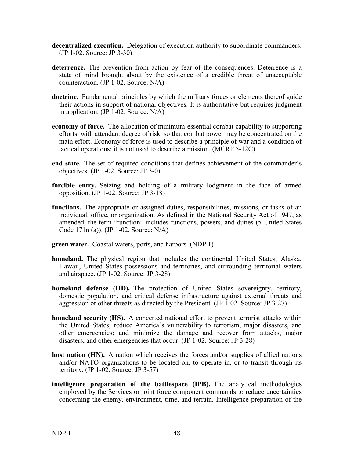- **decentralized execution.** Delegation of execution authority to subordinate commanders. (JP 1-02. Source: JP 3-30)
- **deterrence.** The prevention from action by fear of the consequences. Deterrence is a state of mind brought about by the existence of a credible threat of unacceptable counteraction. (JP 1-02. Source: N/A)
- **doctrine.** Fundamental principles by which the military forces or elements thereof guide their actions in support of national objectives. It is authoritative but requires judgment in application. (JP 1-02. Source: N/A)
- **economy of force.** The allocation of minimum-essential combat capability to supporting efforts, with attendant degree of risk, so that combat power may be concentrated on the main effort. Economy of force is used to describe a principle of war and a condition of tactical operations; it is not used to describe a mission. (MCRP 5-12C)
- **end state.** The set of required conditions that defines achievement of the commander's objectives. (JP 1-02. Source: JP 3-0)
- **forcible entry.** Seizing and holding of a military lodgment in the face of armed opposition. (JP 1-02. Source: JP 3-18)
- **functions.** The appropriate or assigned duties, responsibilities, missions, or tasks of an individual, office, or organization. As defined in the National Security Act of 1947, as amended, the term "function" includes functions, powers, and duties (5 United States Code 171n (a)). (JP 1-02. Source: N/A)
- **green water.** Coastal waters, ports, and harbors. (NDP 1)
- **homeland.** The physical region that includes the continental United States, Alaska, Hawaii, United States possessions and territories, and surrounding territorial waters and airspace. (JP 1-02. Source: JP 3-28)
- **homeland defense (HD).** The protection of United States sovereignty, territory, domestic population, and critical defense infrastructure against external threats and aggression or other threats as directed by the President. (JP 1-02. Source: JP 3-27)
- **homeland security (HS).** A concerted national effort to prevent terrorist attacks within the United States; reduce America's vulnerability to terrorism, major disasters, and other emergencies; and minimize the damage and recover from attacks, major disasters, and other emergencies that occur. (JP 1-02. Source: JP 3-28)
- **host nation (HN).** A nation which receives the forces and/or supplies of allied nations and/or NATO organizations to be located on, to operate in, or to transit through its territory. (JP 1-02. Source: JP 3-57)
- **intelligence preparation of the battlespace (IPB).** The analytical methodologies employed by the Services or joint force component commands to reduce uncertainties concerning the enemy, environment, time, and terrain. Intelligence preparation of the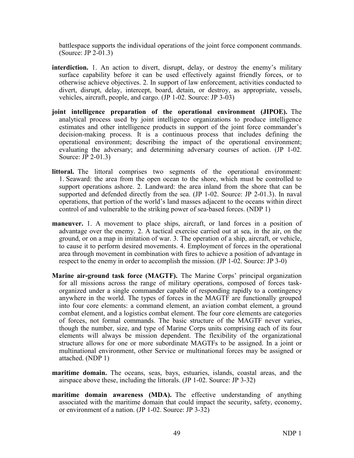battlespace supports the individual operations of the joint force component commands. (Source: JP 2-01.3)

- **interdiction.** 1. An action to divert, disrupt, delay, or destroy the enemy's military surface capability before it can be used effectively against friendly forces, or to otherwise achieve objectives. 2. In support of law enforcement, activities conducted to divert, disrupt, delay, intercept, board, detain, or destroy, as appropriate, vessels, vehicles, aircraft, people, and cargo. (JP 1-02. Source: JP 3-03)
- **joint intelligence preparation of the operational environment (JIPOE).** The analytical process used by joint intelligence organizations to produce intelligence estimates and other intelligence products in support of the joint force commander's decision-making process. It is a continuous process that includes defining the operational environment; describing the impact of the operational environment; evaluating the adversary; and determining adversary courses of action. (JP 1-02. Source: JP 2-01.3)
- **littoral.** The littoral comprises two segments of the operational environment: 1. Seaward: the area from the open ocean to the shore, which must be controlled to support operations ashore. 2. Landward: the area inland from the shore that can be supported and defended directly from the sea. (JP 1-02. Source: JP 2-01.3). In naval operations, that portion of the world's land masses adjacent to the oceans within direct control of and vulnerable to the striking power of sea-based forces. (NDP 1)
- **maneuver.** 1. A movement to place ships, aircraft, or land forces in a position of advantage over the enemy. 2. A tactical exercise carried out at sea, in the air, on the ground, or on a map in imitation of war. 3. The operation of a ship, aircraft, or vehicle, to cause it to perform desired movements. 4. Employment of forces in the operational area through movement in combination with fires to achieve a position of advantage in respect to the enemy in order to accomplish the mission. (JP 1-02. Source: JP 3-0)
- **Marine air-ground task force (MAGTF).** The Marine Corps' principal organization for all missions across the range of military operations, composed of forces taskorganized under a single commander capable of responding rapidly to a contingency anywhere in the world. The types of forces in the MAGTF are functionally grouped into four core elements: a command element, an aviation combat element, a ground combat element, and a logistics combat element. The four core elements are categories of forces, not formal commands. The basic structure of the MAGTF never varies, though the number, size, and type of Marine Corps units comprising each of its four elements will always be mission dependent. The flexibility of the organizational structure allows for one or more subordinate MAGTFs to be assigned. In a joint or multinational environment, other Service or multinational forces may be assigned or attached. (NDP 1)
- **maritime domain.** The oceans, seas, bays, estuaries, islands, coastal areas, and the airspace above these, including the littorals. (JP 1-02. Source: JP 3-32)
- **maritime domain awareness (MDA).** The effective understanding of anything associated with the maritime domain that could impact the security, safety, economy, or environment of a nation. (JP 1-02. Source: JP 3-32)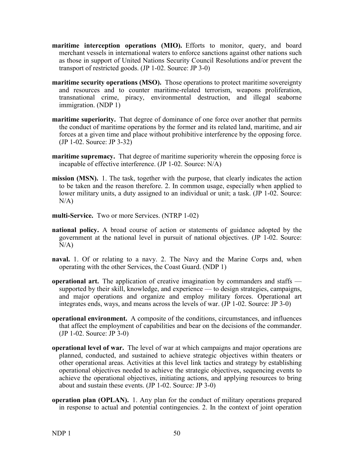- **maritime interception operations (MIO).** Efforts to monitor, query, and board merchant vessels in international waters to enforce sanctions against other nations such as those in support of United Nations Security Council Resolutions and/or prevent the transport of restricted goods. (JP 1-02. Source: JP 3-0)
- **maritime security operations (MSO).** Those operations to protect maritime sovereignty and resources and to counter maritime-related terrorism, weapons proliferation, transnational crime, piracy, environmental destruction, and illegal seaborne immigration. (NDP 1)
- **maritime superiority.** That degree of dominance of one force over another that permits the conduct of maritime operations by the former and its related land, maritime, and air forces at a given time and place without prohibitive interference by the opposing force. (JP 1-02. Source: JP 3-32)
- **maritime supremacy.** That degree of maritime superiority wherein the opposing force is incapable of effective interference. (JP 1-02. Source: N/A)
- **mission (MSN).** 1. The task, together with the purpose, that clearly indicates the action to be taken and the reason therefore. 2. In common usage, especially when applied to lower military units, a duty assigned to an individual or unit; a task. (JP 1-02. Source:  $N/A$ )
- **multi-Service.** Two or more Services. (NTRP 1-02)
- **national policy.** A broad course of action or statements of guidance adopted by the government at the national level in pursuit of national objectives. (JP 1-02. Source:  $N/A$ )
- **naval.** 1. Of or relating to a navy. 2. The Navy and the Marine Corps and, when operating with the other Services, the Coast Guard. (NDP 1)
- **operational art.** The application of creative imagination by commanders and staffs supported by their skill, knowledge, and experience — to design strategies, campaigns, and major operations and organize and employ military forces. Operational art integrates ends, ways, and means across the levels of war. (JP 1-02. Source: JP 3-0)
- **operational environment.** A composite of the conditions, circumstances, and influences that affect the employment of capabilities and bear on the decisions of the commander. (JP 1-02. Source: JP 3-0)
- **operational level of war.** The level of war at which campaigns and major operations are planned, conducted, and sustained to achieve strategic objectives within theaters or other operational areas. Activities at this level link tactics and strategy by establishing operational objectives needed to achieve the strategic objectives, sequencing events to achieve the operational objectives, initiating actions, and applying resources to bring about and sustain these events. (JP 1-02. Source: JP 3-0)
- **operation plan (OPLAN).** 1. Any plan for the conduct of military operations prepared in response to actual and potential contingencies. 2. In the context of joint operation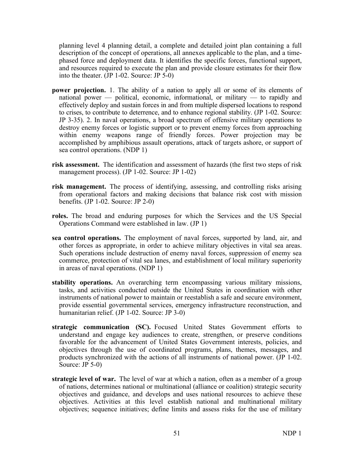planning level 4 planning detail, a complete and detailed joint plan containing a full description of the concept of operations, all annexes applicable to the plan, and a timephased force and deployment data. It identifies the specific forces, functional support, and resources required to execute the plan and provide closure estimates for their flow into the theater. (JP 1-02. Source: JP 5-0)

- **power projection.** 1. The ability of a nation to apply all or some of its elements of national power — political, economic, informational, or military — to rapidly and effectively deploy and sustain forces in and from multiple dispersed locations to respond to crises, to contribute to deterrence, and to enhance regional stability. (JP 1-02. Source: JP 3-35). 2. In naval operations, a broad spectrum of offensive military operations to destroy enemy forces or logistic support or to prevent enemy forces from approaching within enemy weapons range of friendly forces. Power projection may be accomplished by amphibious assault operations, attack of targets ashore, or support of sea control operations. (NDP 1)
- **risk assessment.** The identification and assessment of hazards (the first two steps of risk management process). (JP 1-02. Source: JP 1-02)
- **risk management.** The process of identifying, assessing, and controlling risks arising from operational factors and making decisions that balance risk cost with mission benefits. (JP 1-02. Source: JP 2-0)
- **roles.** The broad and enduring purposes for which the Services and the US Special Operations Command were established in law. (JP 1)
- **sea control operations.** The employment of naval forces, supported by land, air, and other forces as appropriate, in order to achieve military objectives in vital sea areas. Such operations include destruction of enemy naval forces, suppression of enemy sea commerce, protection of vital sea lanes, and establishment of local military superiority in areas of naval operations. (NDP 1)
- **stability operations.** An overarching term encompassing various military missions, tasks, and activities conducted outside the United States in coordination with other instruments of national power to maintain or reestablish a safe and secure environment, provide essential governmental services, emergency infrastructure reconstruction, and humanitarian relief. (JP 1-02. Source: JP 3-0)
- **strategic communication (SC).** Focused United States Government efforts to understand and engage key audiences to create, strengthen, or preserve conditions favorable for the advancement of United States Government interests, policies, and objectives through the use of coordinated programs, plans, themes, messages, and products synchronized with the actions of all instruments of national power. (JP 1-02. Source: JP 5-0)
- **strategic level of war.** The level of war at which a nation, often as a member of a group of nations, determines national or multinational (alliance or coalition) strategic security objectives and guidance, and develops and uses national resources to achieve these objectives. Activities at this level establish national and multinational military objectives; sequence initiatives; define limits and assess risks for the use of military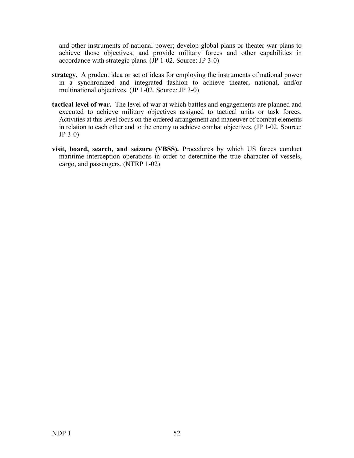and other instruments of national power; develop global plans or theater war plans to achieve those objectives; and provide military forces and other capabilities in accordance with strategic plans. (JP 1-02. Source: JP 3-0)

- **strategy.** A prudent idea or set of ideas for employing the instruments of national power in a synchronized and integrated fashion to achieve theater, national, and/or multinational objectives. (JP 1-02. Source: JP 3-0)
- **tactical level of war.** The level of war at which battles and engagements are planned and executed to achieve military objectives assigned to tactical units or task forces. Activities at this level focus on the ordered arrangement and maneuver of combat elements in relation to each other and to the enemy to achieve combat objectives. (JP 1-02. Source: JP 3-0)
- **visit, board, search, and seizure (VBSS).** Procedures by which US forces conduct maritime interception operations in order to determine the true character of vessels, cargo, and passengers. (NTRP 1-02)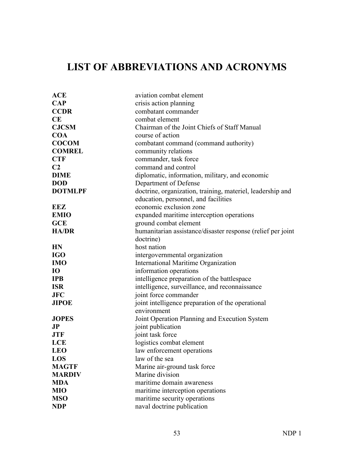# **LIST OF ABBREVIATIONS AND ACRONYMS**

| <b>ACE</b>     | aviation combat element                                     |
|----------------|-------------------------------------------------------------|
| <b>CAP</b>     | crisis action planning                                      |
| <b>CCDR</b>    | combatant commander                                         |
| CE             | combat element                                              |
| <b>CJCSM</b>   | Chairman of the Joint Chiefs of Staff Manual                |
| <b>COA</b>     | course of action                                            |
| <b>COCOM</b>   | combatant command (command authority)                       |
| <b>COMREL</b>  | community relations                                         |
| <b>CTF</b>     | commander, task force                                       |
| C <sub>2</sub> | command and control                                         |
| <b>DIME</b>    | diplomatic, information, military, and economic             |
| <b>DOD</b>     | Department of Defense                                       |
| <b>DOTMLPF</b> | doctrine, organization, training, materiel, leadership and  |
|                | education, personnel, and facilities                        |
| <b>EEZ</b>     | economic exclusion zone                                     |
| <b>EMIO</b>    | expanded maritime interception operations                   |
| <b>GCE</b>     | ground combat element                                       |
| <b>HA/DR</b>   | humanitarian assistance/disaster response (relief per joint |
|                | doctrine)                                                   |
| <b>HN</b>      | host nation                                                 |
| <b>IGO</b>     | intergovernmental organization                              |
| <b>IMO</b>     | International Maritime Organization                         |
| 10             | information operations                                      |
| <b>IPB</b>     | intelligence preparation of the battlespace                 |
| <b>ISR</b>     | intelligence, surveillance, and reconnaissance              |
| <b>JFC</b>     | joint force commander                                       |
| <b>JIPOE</b>   | joint intelligence preparation of the operational           |
|                | environment                                                 |
| <b>JOPES</b>   | Joint Operation Planning and Execution System               |
| JP             | joint publication                                           |
| <b>JTF</b>     | joint task force                                            |
| <b>LCE</b>     | logistics combat element                                    |
| <b>LEO</b>     | law enforcement operations                                  |
| LOS            | law of the sea                                              |
| <b>MAGTF</b>   | Marine air-ground task force                                |
| <b>MARDIV</b>  | Marine division                                             |
| <b>MDA</b>     | maritime domain awareness                                   |
| <b>MIO</b>     | maritime interception operations                            |
| <b>MSO</b>     | maritime security operations                                |
| <b>NDP</b>     | naval doctrine publication                                  |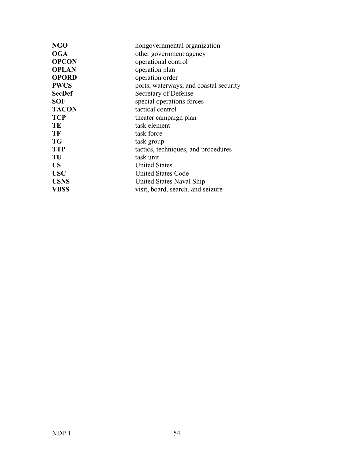| nongovernmental organization           |
|----------------------------------------|
| other government agency                |
| operational control                    |
| operation plan                         |
| operation order                        |
| ports, waterways, and coastal security |
| Secretary of Defense                   |
| special operations forces              |
| tactical control                       |
| theater campaign plan                  |
| task element                           |
| task force                             |
| task group                             |
| tactics, techniques, and procedures    |
| task unit                              |
| <b>United States</b>                   |
| <b>United States Code</b>              |
| United States Naval Ship               |
| visit, board, search, and seizure      |
|                                        |